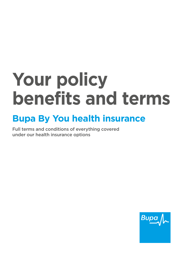# **Your policy benefits and terms**

# **Bupa By You health insurance**

Full terms and conditions of everything covered under our health insurance options

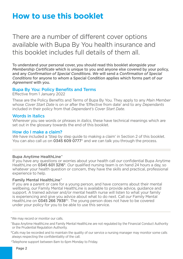# **How to use this booklet**

There are a number of different cover options available with Bupa By You health insurance and this booklet includes full details of them all.

To understand your personal cover, you should read this booklet alongside your *Membership Certifcate* which is unique to you and anyone else covered by your policy, and any *Confrmation of Special Conditions*. *We* will send a *Confrmation of Special Conditions* for anyone to whom a Special Condition applies which forms part of *our Agreement* with you.

#### Bupa By You: Policy Benefits and Terms

Effective from 1 January 2022

These are the Policy Benefts and Terms of Bupa By You. They apply to any *Main Member*  whose *Cover Start Date* is on or after the 'Effective from date' and to any *Dependants*  included in their policy from that *Dependant's Cover Start Date*.

#### Words in italics

Wherever you see words or phrases in *italics*, these have technical meanings which are set out in the glossary towards the end of this booklet.

#### How do I make a claim?

*We* have included a 'Step by step guide to making a claim' in Section 2 of this booklet. You can also call *us* on 0345 609 0777\* and *we* can talk you through the process.

#### Bupa Anytime HealthLine^

If you have any questions or worries about your health call *our* confdential Bupa Anytime HealthLine on 0345 601 3216<sup>#</sup>. *Our* qualified nursing team is on hand 24 hours a day, so whatever your health question or concern, they have the skills and practical, professional experience to help.

#### Family Mental HealthLine^

If you are a parent or care for a young person, and have concerns about their mental wellbeing, *our* Family Mental HealthLine is available to provide advice, guidance and support. A trained adviser and/or mental health nurse will listen to what your family is experiencing and give you advice about what to do next. Call *our* Family Mental HealthLine on 0345 266 7938#†. The young person does not have to be covered under your policy for you to be able to use this service.

\*We may record or monitor our calls.

^Bupa Anytime HealthLine and Family Mental HealthLine are not regulated by the Financial Conduct Authority or the Prudential Regulation Authority.

#Calls may be recorded and to maintain the quality of our service a nursing manager may monitor some calls always respecting the confidentiality of the call.

†Telephone support between 8am to 6pm Monday to Friday.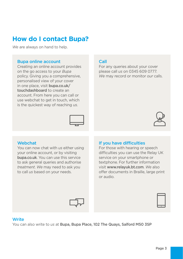# **How do I contact Bupa?**

*We* are always on hand to help.

#### Bupa online account

Creating an online account provides on the go access to your *Bupa*  policy. Giving you a comprehensive, personalised view of your cover in one place, visit [bupa.co.uk/](https://bupa.co.uk) touchdashboard to create an account. From here you can call or use webchat to get in touch, which is the quickest way of reaching *us*.



#### **Call**

For any queries about your cover please call *us* on 0345 609 0777. *We* may record or monitor *our* calls.



#### **Webchat**

You can now chat with *us* either using your online account, or by visiting [bupa.co.uk](https://bupa.co.uk). You can use this service to ask general queries and authorise *treatment*. *We* may need to ask you to call *us* based on your needs.

#### If you have difficulties

For those with hearing or speech difficulties you can use the Relay UK service on your smartphone or textphone. For further information visit <www.relayuk.bt.com>. *We* also offer documents in Braille, large print or audio.



#### **Write**

You can also write to *us* at Bupa, Bupa Place, 102 The Quays, Salford M50 3SP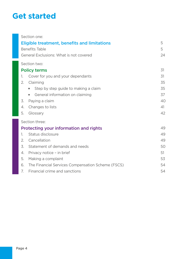# **Get started**

| Section one:                                            |    |
|---------------------------------------------------------|----|
| <b>Eligible treatment, benefits and limitations</b>     | 5  |
| <b>Benefits Table</b>                                   |    |
| General Exclusions: What is not covered                 | 24 |
| Section two:                                            |    |
| <b>Policy terms</b>                                     | 31 |
| 1.<br>Cover for you and your dependants                 | 31 |
| Claiming<br>2.                                          | 35 |
| Step by step guide to making a claim                    | 35 |
| General information on claiming                         | 37 |
| Paying a claim<br>3.                                    | 40 |
| Changes to lists<br>4.                                  | 41 |
| Glossary<br>5.                                          | 42 |
| Section three:                                          |    |
| Protecting your information and rights                  | 49 |
| Status disclosure<br>1.                                 | 49 |
| Cancellation<br>2.                                      | 49 |
| Statement of demands and needs<br>3.                    | 50 |
| Privacy notice - in brief<br>4.                         | 51 |
| 5.<br>Making a complaint                                | 53 |
| The Financial Services Compensation Scheme (FSCS)<br>6. | 54 |
| Financial crime and sanctions<br>7.                     | 54 |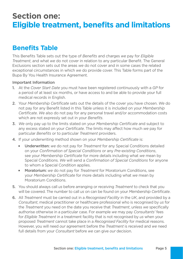# **Section one: Eligible treatment, benefits and limitations**

# **Benefits Table**

This Benefts Table sets out the type of *Benefts* and charges *we* pay for *Eligible Treatment*, and what *we* do not cover in relation to any particular Beneft. The General Exclusions section sets out the areas *we* do not cover and in some cases the related exceptional circumstances in which *we* do provide cover. This Table forms part of the Bupa By You Health Insurance Agreement.

#### Important Information

- 1. At the *Cover Start Date* you must have been registered continuously with a *GP* for a period of at least six months, or have access to and be able to provide your full medical records in English.
- 2. Your *Membership Certifcate* sets out the details of the cover you have chosen. *We* do not pay for any Beneft listed in this Table unless it is included on your *Membership Certifcate*. *We* also do not pay for any personal travel and/or accommodation costs which are not expressly set out in your *Benefts*.
- 3. *We* only pay up to the limits stated on your *Membership Certifcate* and subject to any excess stated on your *Certifcate*. The limits may affect how much *we* pay for particular *Benefts* or to particular *Treatment* providers.
- 4. If your underwriting method shown on your *Membership Certifcate* is:
	- **Julie 2** Underwritten: *we* do not pay for *Treatment* for any Special Conditions detailed on your *Confrmation of Special Conditions* or any *Pre-existing Conditions*, see your *Membership Certifcate* for more details including what *we* mean by Special Conditions. *We* will send a *Confrmation of Special Conditions* for anyone to whom a Special Condition applies.
	- your *Membership Certifcate* for more details including what *we* mean by **Moratorium:** *we* do not pay for *Treatment* for Moratorium Conditions, see Moratorium Conditions.
- 5. You should always call *us* before arranging or receiving *Treatment* to check that you will be covered. The number to call *us* on can be found on your *Membership Certifcate*.
- 6. All *Treatment* must be carried out in a *Recognised Facility* in the *UK*, and provided by a *Consultant*, medical practitioner or healthcare professional who is recognised by *us* for the *Treatment* you need on the date you receive that *Treatment*, unless *we* specifcally authorise otherwise in a particular case. For example *we* may pay *Consultants'* fees for *Eligible Treatment* in a treatment facility that is not recognised by *us* when your proposed *Treatment* cannot take place in a *Recognised Facility* for medical reasons. However, you will need *our* agreement before the *Treatment* is received and *we* need full details from your *Consultant* before *we* can give *our* decision.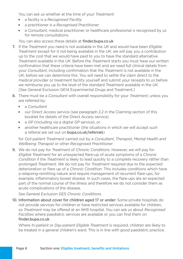You can ask *us* whether at the time of your *Treatment*:

- **Example 2** a facility is a *Recognised Facility*
- **EXECTE:** a practitioner is a *Recognised Practitioner*
- **a** *Consultant*, medical practitioner or healthcare professional is recognised by us for remote consultations.

You can also access these details at finder.bupa.co.uk

- 7. If the *Treatment* you need is not available in the *UK* and would have been *Eligible Treatment* except for it not being available in the *UK*, *we* will pay you a contribution up to the cost that *we* would have paid to you to have the standard alternative *Treatment* available in the *UK*. Before the *Treatment* starts you must have *our* written confrmation that these criteria have been met and *we* need full clinical details from your *Consultant*, including confrmation that the *Treatment* is not available in the *UK*, before *we* can determine this. You will need to settle the claim direct to the medical provider or treatment facility yourself and submit your receipts to *us* before *we* reimburse you up to the level of the standard *Treatment* available in the *UK*. (See General Exclusion GE14 Experimental Drugs and Treatment.)
- 8. There must be a *Consultant* with overall responsibility for your *Treatment*, unless you are referred by:
	- a *Consultant*
	- **Druma** *Direct Access service (see paragraph 2.2 in the Claiming section of this* booklet for details of the Direct Access service)
	- a *GP* (including via a digital *GP* service), or
	- another healthcare practitioner (the situations in which *we* will accept such a referral are set out on bupa.co.uk/referrals)

for *Out-patient Treatment* carried out by a *Consultant*, *Therapist*, *Mental Health and Wellbeing Therapist* or other *Recognised Practitioner*.

9. *We* do not pay for *Treatment* of *Chronic Conditions*. However, *we* will pay for *Eligible Treatment* for an unexpected fare-up of acute symptoms of a *Chronic Condition* if the *Treatment* is likely to lead quickly to a complete recovery rather than prolonged *Treatment*. *We* do not pay for *Treatment* required due to the expected deterioration or fare up of a *Chronic Condition*. This includes conditions which have a relapsing-remitting nature and require management of recurrent fare-ups, for example, infammatory bowel disease. In such cases, the fare-ups are an expected part of the normal course of the illness and therefore *we* do not consider them as acute complications of the disease.

See General Exclusion GE5 *Chronic Conditions*.

10. Information about cover for children aged 17 or under: Some private hospitals do not provide services for children or have restricted services available for children, so *Treatment* may be offered at an *NHS* hospital. You can ask *us* about *Recognised Facilities* where paediatric services are available or you can fnd them on [fnder.bupa.co.uk](https://finder.bupa.co.uk)

Where *In-patient* or *Day-patient Eligible Treatment* is required, children are likely to be treated in a general children's ward. This is in line with good paediatric practice.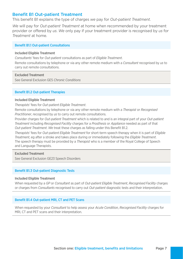#### **Benefit B1 Out-patient Treatment**

This beneft B1 explains the type of charges *we* pay for *Out-patient Treatment*.

*We* will pay for *Out-patient Treatment* at home when recommended by your treatment provider or offered by *us*. *We* only pay if your treatment provider is recognised by *us* for *Treatment* at home.

#### **Benefit B1.1 Out-patient Consultations**

#### Included Eligible Treatment

*Consultants'* fees for *Out-patient* consultations as part of *Eligible Treatment*.

Remote consultations by telephone or via any other remote medium with a *Consultant* recognised by *us* to carry out remote consultations.

#### Excluded Treatment

See General Exclusion GE5 *Chronic Conditions* 

#### **Benefit B1.2 Out-patient Therapies**

#### Included Eligible Treatment

*Therapists'* fees for *Out-patient Eligible Treatment*.

Remote consultations by telephone or via any other remote medium with a *Therapist* or *Recognised Practitioner*, recognised by *us* to carry out remote consultations.

Provider charges for *Out-patient Treatment* which is related to and is an integral part of your *Out-patient Treatment* including *Recognised Facility* charges for a *Prosthesis* or *Appliance* needed as part of that *Out-patient Treatment*. *We* treat these charges as falling under this Beneft B1.2.

*Therapists'* fees for *Out-patient Eligible Treatment* for short-term speech therapy when it is part of *Eligible Treatment*, eg after a stroke and takes place during or immediately following the *Eligible Treatment*. The speech therapy must be provided by a *Therapist* who is a member of the Royal College of Speech and Language Therapists.

#### Excluded Treatment

See General Exclusion GE23 Speech Disorders

#### Benefit B1.3 Out-patient Diagnostic Tests

#### Included Eligible Treatment

When requested by a *GP* or *Consultant* as part of *Out-patient Eligible Treatment*, *Recognised Facility* charges or charges from *Consultants* recognised to carry out *Out-patient* diagnostic tests and their interpretation.

#### Benefit B1.4 Out-patient MRI, CT and PET Scans

When requested by your *Consultant* to help assess your *Acute Condition*, *Recognised Facility* charges for MRI, CT and PET scans and their interpretation.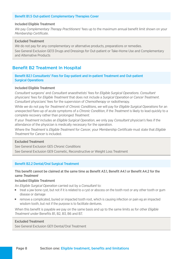#### Benefit B1.5 Out-patient Complementary Therapies Cover

#### Included Eligible Treatment

*We* pay *Complementary Therapy Practitioners'* fees up to the maximum annual beneft limit shown on your *Membership Certifcate*.

#### Excluded Treatment

We do not pay for any complementary or alternative products, preparations or remedies. See General Exclusion GE13 Drugs and Dressings for Out-patient or Take-Home Use and Complementary and Alternative Products

#### **Benefit B2 Treatment In Hospital**

#### Benefit B2.1 Consultants' Fees for Day-patient and In-patient Treatment and Out-patient Surgical Operations

#### Included Eligible Treatment

*Consultant* surgeons' and *Consultant* anaesthetists' fees for *Eligible Surgical Operations*. *Consultant*  physicians' fees for *Eligible Treatment* that does not include a *Surgical Operation or Cancer Treatment*. *Consultant* physicians' fees for the supervision of *Chemotherapy* or radiotherapy.

While *we* do not pay for *Treatment* of *Chronic Conditions*, *we* will pay for *Eligible Surgical Operations* for an unexpected fare-up of acute symptoms of a *Chronic Condition*, if the *Treatment* is likely to lead quickly to a complete recovery rather than prolonged *Treatment*.

If your *Treatment* includes an *Eligible Surgical Operation*, *we* only pay *Consultant* physician's fees if the attendance of the physician is medically necessary for the operation.

Where the *Treatment* is *Eligible Treatment* for *Cancer*, your *Membership Certifcate* must state that *Eligible Treatment* for *Cancer* is included.

#### Excluded Treatment

See General Exclusion GE5 *Chronic Conditions*  See General Exclusion GE9 Cosmetic, Reconstructive or Weight Loss Treatment

#### Beneft B2.2 Dental/Oral Surgical Treatment

#### This benefit cannot be claimed at the same time as Benefit A3.1, Benefit A4.1 or Benefit A4.2 for the same *Treatment*

#### Included Eligible Treatment

An *Eligible Surgical Operation* carried out by a *Consultant* to:

- $\blacksquare$  treat a jaw bone cyst, but not if it is related to a cyst or abscess on the tooth root or any other tooth or gum disease or damage
- $\blacksquare$  remove a complicated, buried or impacted tooth root, which is causing infection or pain eg an impacted wisdom tooth, but not if the purpose is to facilitate dentures.

When this beneft is payable *we* pay on the same basis and up to the same limits as for other *Eligible Treatment* under Benefts B1, B2, B3, B6 and B7.

#### Excluded Treatment

See General Exclusion GE11 Dental/Oral Treatment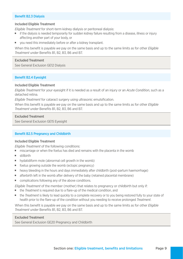#### Benefit B2.3 Dialysis

#### Included Eligible Treatment

*Eligible Treatment* for short-term kidney dialysis or peritoneal dialysis:

- $\blacksquare$  if the dialysis is needed temporarily for sudden kidney failure resulting from a disease, illness or injury afecting another part of your body, or
- vou need this immediately before or after a kidney transplant.

When this beneft is payable *we* pay on the same basis and up to the same limits as for other *Eligible Treatment* under Benefts B1, B2, B3, B6 and B7.

#### Excluded Treatment

See General Exclusion GE12 Dialysis

#### Benefit B2.4 Eyesight

#### Included Eligible Treatment

*Eligible Treatment* for your eyesight if it is needed as a result of an injury or an *Acute Condition*, such as a detached retina.

*Eligible Treatment* for cataract surgery using ultrasonic emulsifcation.

When this beneft is payable *we* pay on the same basis and up to the same limits as for other *Eligible Treatment* under Benefts B1, B2, B3, B6 and B7.

#### Excluded Treatment

See General Exclusion GE15 Eyesight

#### Benefit B2.5 Pregnancy and Childbirth

#### Included Eligible Treatment

*Eligible Treatment* of the following conditions:

- **IDED** miscarriage or when the foetus has died and remains with the placenta in the womb
- $\blacksquare$  stillbirth
- $\blacksquare$  hydatidiform mole (abnormal cell growth in the womb)
- $\blacksquare$  foetus growing outside the womb (ectopic pregnancy)
- **•** heavy bleeding in the hours and days immediately after childbirth (post-partum haemorrhage)
- **T** afterbirth left in the womb after delivery of the baby (retained placental membrane)
- $\blacksquare$  complications following any of the above conditions.

*Eligible Treatment* of the member (mother) that relates to pregnancy or childbirth but only if:

- $\blacksquare$  the *Treatment* is required due to a flare-up of the medical condition, and
- $\blacksquare$  the *Treatment* is likely to lead quickly to a complete recovery or to you being restored fully to your state of health prior to the fare-up of the condition without you needing to receive prolonged *Treatment*.

When this benefit is payable *we* pay on the same basis and up to the same limits as for other *Eligible Treatment* under Benefits B1, B2, B3, B6 and B7.

#### Excluded Treatment

See General Exclusion GE20 Pregnancy and Childbirth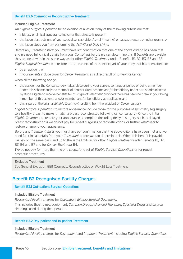#### Benefit B<sub>2</sub>.6 Cosmetic or Reconstructive Treatment

#### Included Eligible Treatment

An *Eligible Surgical Operation* for an excision of a lesion if any of the following criteria are met:

- a biopsy or clinical appearance indicates that disease is present
- $\blacksquare$  the lesion obstructs one of your special senses (vision/ smell/ hearing) or causes pressure on other organs, or
- the lesion stops you from performing the *Activities of Daily Living*.

Before any *Treatment* starts you must have *our* confrmation that one of the above criteria has been met and *we* need full clinical details from your *Consultant* before *we* can determine this. If *benefts* are payable they are dealt with in the same way as for other *Eligible Treatment* under Benefts B1, B2, B3, B6 and B7. *Eligible Surgical Operations* to restore the appearance of the specifc part of your body that has been afected:

- $\blacksquare$  by an accident, or
- if your *Benefits* include cover for *Cancer Treatment*, as a direct result of surgery for *Cancer*

when all the following apply:

- $\blacksquare$  the accident or the *Cancer* surgery takes place during your current continuous period of being a member under this scheme and/or a member of another *Bupa* scheme and/or benefciary under a trust administered by Bupa eligible to receive benefts for this type of *Treatment* provided there has been no break in your being a member of this scheme and/or member and/or beneficiary as applicable, and
- **In this is part of the original** *Eligible Treatment* resulting from the accident or *Cancer* surgery.

*Eligible Surgical Operations* to restore appearance include those for the purposes of symmetry (eg surgery to a healthy breast to make it match a breast reconstructed following cancer surgery). Once the initial *Eligible Treatment* to restore your appearance is complete (including delayed surgery, such as delayed breast reconstructions) *we* do not pay for repeat surgeries or reconstructions, or further *Treatment* to restore or amend your appearance.

Before any *Treatment* starts you must have *our* confrmation that the above criteria have been met and *we*  need full clinical details from your *Consultant* before *we* can determine this. When this beneft is payable *we* pay on the same basis and up to the same limits as for other *Eligible Treatment* under Benefts B1, B2, B3, B6 and B7 and for *Cancer Treatment* B4.

*We* do not pay for more than the one course/one set of *Eligible Surgical Operations* or for repeat cosmetic procedures.

#### Excluded Treatment

See General Exclusion GE9 Cosmetic, Reconstructive or Weight Loss Treatment

#### **Benefit B3 Recognised Facility Charges**

#### Benefit B3.1 Out-patient Surgical Operations

#### Included Eligible Treatment

*Recognised Facility* charges for *Out-patient Eligible Surgical Operations*.

This includes theatre use, equipment, *Common Drugs*, *Advanced Therapies*, *Specialist Drugs* and surgical dressings used during the operation.

#### Benefit B3.2 Day-patient and In-patient Treatment

#### Included Eligible Treatment

*Recognised Facility* charges for *Day-patient* and *In-patient Treatment* including *Eligible Surgical Operations*.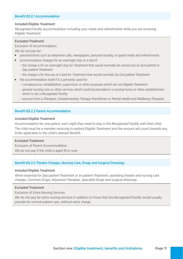#### Benefit B3.2.1 Accommodation

#### Included Eligible Treatment

*Recognised Facility* accommodation including your meals and refreshments while you are receiving *Eligible Treatment*.

#### Excluded Treatment

#### Exclusion of Accommodation

*We* do not pay for:

- **Parager is personal items such as telephone calls, newspapers, personal laundry, or guest meals and refreshments**
- **EXECOMMODATION CHARGES FOR AN OVERFIGHT STAY OF A bed if:** 
	- the charge is for an overnight stay for *Treatment* that would normally be carried out as *Out-patient* or *Day-patient Treatment*
	- the charge is for the use of a bed for *Treatment* that would normally be *Out-patient Treatment*
- $\blacksquare$  the accommodation itself if it is primarily used for:
	- convalescence, rehabilitation, supervision or other purposes which are not *Eligible Treatment*
	- general nursing care or other services which could be provided in a nursing home or other establishment which is not a *Recognised Facility*
	- services from a *Therapist*, *Complementary Therapy Practitioner* or *Mental Health and Wellbeing Therapist*.

#### Benefit B3.2.2 Parent Accommodation

#### Included Eligible Treatment

Accommodation for one parent, each night they need to stay in the *Recognised Facility* with their child. The child must be a member receiving *In-patient Eligible Treatment* and the amount will count towards any limits applicable to the child's relevant Beneft.

#### Excluded Treatment

Exclusion of Parent Accommodation *We* do not pay if the child is aged 18 or over.

#### Benefit B3.2.3 Theatre Charges, Nursing Care, Drugs and Surgical Dressings

#### Included Eligible Treatment

When essential for *Day-patient Treatment* or *In-patient Treatment*, operating theatre and nursing care charges, *Common Drugs*, *Advanced Therapies*, *Specialist Drugs* and surgical dressings.

#### Excluded Treatment

Exclusion of Extra Nursing Services

*We* do not pay for extra nursing services in addition to those that the *Recognised Facility* would usually provide for normal patient care, without extra charge.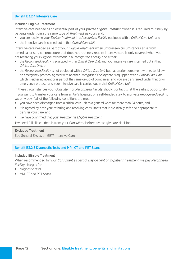#### Benefit B3.2.4 Intensive Care

#### Included Eligible Treatment

Intensive care needed as an essential part of your private *Eligible Treatment* when it is required routinely by patients undergoing the same type of *Treatment* as yours and:

- vou are receiving your *Eligible Treatment* in a *Recognised Facility* equipped with a *Critical Care Unit*, and
- $\blacksquare$  the intensive care is carried out in that *Critical Care Unit*.

Intensive care needed as part of your *Eligible Treatment* when unforeseen circumstances arise from a medical or surgical procedure that does not routinely require intensive care is only covered when you are receiving your *Eligible Treatment* in a *Recognised Facility* and either:

- the *Recognised Facility* is equipped with a *Critical Care Unit*, and your intensive care is carried out in that *Critical Care Unit*, or
- $\blacksquare$  the *Recognised Facility* is not equipped with a *Critical Care Unit* but has a prior agreement with us to follow an emergency protocol agreed with another *Recognised Facility* that is equipped with a *Critical Care Unit*, which is either adjacent or is part of the same group of companies, and you are transferred under that prior emergency protocol and your intensive care is carried out in that *Critical Care Unit*.

In these circumstances your *Consultant* or *Recognised Facility* should contact *us* at the earliest opportunity. If you want to transfer your care from an *NHS* hospital, or a self-funded stay, to a private *Recognised Facility*, *we* only pay if all of the following conditions are met:

- vou have been discharged from a critical care unit to a general ward for more than 24 hours, and
- it is agreed by both your referring and receiving consultants that it is clinically safe and appropriate to transfer your care, and
- <sup>J</sup> *we* have confrmed that your *Treatment* is *Eligible Treatment*.

*We* need full clinical details from your *Consultant* before *we* can give *our* decision.

#### Excluded Treatment

See General Exclusion GE17 Intensive Care

#### Benefit B3.2.5 Diagnostic Tests and MRI, CT and PET Scans

#### Included Eligible Treatment

When recommended by your *Consultant* as part of *Day-patient* or *In-patient Treatment*, *we* pay *Recognised Facility* charges for:

- diagnostic tests
- MRI, CT and PET Scans.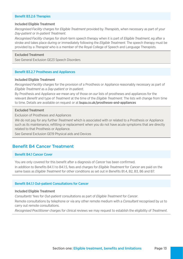#### Benefit B3.2.6 Therapies

#### Included Eligible Treatment

*Recognised Facility* charges for *Eligible Treatment* provided by *Therapists*, when necessary as part of your *Day-patient* or *In-patient Treatment*.

*Recognised Facility* charges for short-term speech therapy when it is part of *Eligible Treatment*, eg after a stroke and takes place during or immediately following the *Eligible Treatment*. The speech therapy must be provided by a *Therapist* who is a member of the Royal College of Speech and Language Therapists.

#### Excluded Treatment

See General Exclusion GE23 Speech Disorders

#### Benefit B3.2.7 Prostheses and Appliances

#### Included Eligible Treatment

*Recognised Facility charges* for the provision of a Prosthesis or Appliance reasonably necessary as part of *Eligible Treatment* as a *Day-patient* or *In-patient*.

By Prosthesis and Appliance *we* mean any of those on *our* lists of prostheses and appliances for the relevant *Beneft* and type of *Treatment* at the time of the *Eligible Treatment*. The lists will change from time to time. Details are available on request or at bupa.co.uk/prostheses-and-appliances

#### Excluded Treatment

Exclusion of Prostheses and Appliances

*We* do not pay for any further *Treatment* which is associated with or related to a Prosthesis or Appliance such as its maintenance, reftting or replacement when you do not have acute symptoms that are directly related to that Prosthesis or Appliance.

See General Exclusion GE19 Physical aids and Devices

#### Beneft B4 Cancer Treatment

#### Benefit B4.1 Cancer Cover

You are only covered for this benefit after a diagnosis of *Cancer* has been confirmed.

In addition to Benefts B4.1.1 to B4.1.5, fees and charges for *Eligible Treatment* for *Cancer* are paid on the same basis as *Eligible Treatment* for other conditions as set out in Benefts B1.4, B2, B3, B6 and B7.

#### Benefit B4.1.1 Out-patient Consultations for Cancer

#### Included Eligible Treatment

*Consultants'* fees for *Out-patient* consultations as part of *Eligible Treatment* for *Cancer*.

Remote consultations by telephone or via any other remote medium with a *Consultant* recognised by *us* to carry out remote consultations.

*Recognised Practitioner* charges for clinical reviews we may request to establish the eligibility of *Treatment*.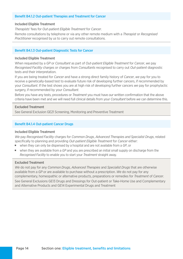#### Benefit B4.1.2 Out-patient Therapies and Treatment for Cancer

#### Included Eligible Treatment

*Therapists'* fees for *Out-patient Eligible Treatment* for *Cancer*. Remote consultations by telephone or via any other remote medium with a *Therapist* or *Recognised Practitioner* recognised by *us* to carry out remote consultations.

#### Benefit B4.1.3 Out-patient Diagnostic Tests for Cancer

#### Included Eligible Treatment

When requested by a *GP* or *Consultant* as part of *Out-patient Eligible Treatment* for *Cancer*, *we* pay *Recognised Facility* charges or charges from *Consultants* recognised to carry out *Out-patient* diagnostic tests and their interpretation.

If you are being treated for *Cancer* and have a strong direct family history of *Cancer*, *we* pay for you to receive a genetically-based test to evaluate future risk of developing further cancers, if recommended by your *Consultant*. If the test shows you are at high risk of developing further cancers *we* pay for prophylactic surgery, if recommended by your *Consultant*.

Before you have any tests, procedures or *Treatment* you must have *our* written confrmation that the above criteria have been met and *we* will need full clinical details from your *Consultant* before *we* can determine this.

#### Excluded Treatment

See General Exclusion GE21 Screening, Monitoring and Preventive Treatment

#### Benefit B4.1.4 Out-patient Cancer Drugs

#### Included Eligible Treatment

*We* pay *Recognised Facility* charges for *Common Drugs*, *Advanced Therapies and Specialist Drugs*, related specifcally to planning and providing *Out-patient Eligible Treatment* for *Cancer* either:

- when they can only be dispensed by a hospital and are not available from a *GP*, or
- when they are available from a *GP* and you are prescribed an initial small supply on discharge from the *Recognised Facility* to enable you to start your *Treatment* straight away.

#### Excluded Treatment

*We* do not pay for any *Common Drugs*, *Advanced Therapies* and *Specialist Drugs* that are otherwise available from a *GP* or are available to purchase without a prescription. *We* do not pay for any complementary, homeopathic or alternative products, preparations or remedies for *Treatment* of *Cancer*. See General Exclusions GE13 Drugs and Dressings for Out-patient or Take-Home Use and Complementary and Alternative Products and GE14 Experimental Drugs and Treatment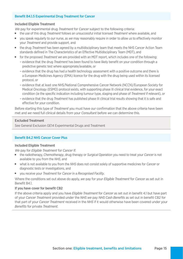#### Benefit B4.1.5 Experimental Drug Treatment for Cancer

#### Included Eligible Treatment

*We* pay for experimental drug *Treatment* for *Cancer* subject to the following criteria:

- the use of this drug *Treatment* follows an unsuccessful initial licensed *Treatment* where available, and
- <sup>J</sup> you speak regularly to *our* nurse, as *we* may reasonably require in order to allow *us* to efectively monitor your *Treatment* and provide support, and
- the drug *Treatment* has been agreed by a multidisciplinary team that meets the NHS Cancer Action Team standards defned in The Characteristics of an Efective Multidisciplinary Team (MDT), and
- $\blacksquare$  for the proposed *Treatment we* are provided with an MDT report, which includes one of the following:
	- evidence that the drug *Treatment* has been found to have likely beneft on your condition through a predictive genetic test where appropriate/available, or
	- evidence that the drug has had a health technology assessment with a positive outcome and there is a European Medicines Agency (EMA) licence for the drug with the drug being used within its licensed protocol, or
	- evidence that at least one NHS/National Comprehensive Cancer Network (NCCN)/European Society for Medical Oncology (ESMO) protocol exists, with supporting phase III clinical trial evidence, for your exact condition (ie the specifc indication including tumour type, staging and phase of *Treatment* if relevant), or
	- evidence that the drug *Treatment* has published phase III clinical trial results showing that it is safe and effective for your condition.

Before starting this type of *Treatment* you must have *our* confrmation that the above criteria have been met and *we* need full clinical details from your *Consultant* before *we* can determine this.

#### Excluded Treatment

See General Exclusion GE14 Experimental Drugs and Treatment

#### Benefit B4.2 NHS Cancer Cover Plus

#### Included Eligible Treatment

*We* pay for *Eligible Treatment* for *Cancer* if:

- the radiotherapy, *Chemotherapy*, drug therapy or *Surgical Operation* you need to treat your *Cancer* is not available to you from the *NHS*, and
- what is not available to you from the *NHS* does not consist solely of supportive medicines for *Cancer* or diagnostic tests or investigations, and
- vou receive your *Treatment* for *Cancer* in a *Recognised Facility*.

Where the conditions set out above do apply, *we* pay for your *Eligible Treatment* for *Cancer* as set out in Benefit B4.1.

#### If you have cover for benefit CB2

If the above criteria apply and you have *Eligible Treatment* for *Cancer* as set out in beneft 4.1 but have part of your *Cancer Treatment* provided under the *NHS we* pay *NHS Cash Benefts* as set out in beneft CB2 for that part of your *Cancer Treatment* received in the *NHS* if it would otherwise have been covered under your *Benefts* for private *Treatment*.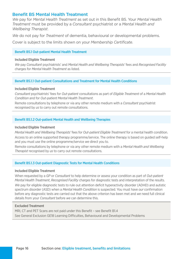#### Benefit B5 Mental Health Treatment

*We* pay for *Mental Health Treatment* as set out in this Beneft B5. Your *Mental Health Treatment* must be provided by a *Consultant* psychiatrist or a *Mental Health and Wellbeing Therapist*.

*We* do not pay for *Treatment* of dementia, behavioural or developmental problems.

Cover is subject to the limits shown on your *Membership Certifcate*.

#### Benefit B5.1 Out-patient Mental Health Treatment

#### Included Eligible Treatment

*We* pay *Consultant* psychiatrists' and *Mental Health and Wellbeing Therapists'* fees and *Recognised Facility*  charges for *Mental Health Treatment* as listed.

#### Beneft B5.1.1 Out-patient Consultations and Treatment for Mental Health Conditions

#### Included Eligible Treatment

*Consultant* psychiatrists' fees for *Out-patient* consultations as part of *Eligible Treatment* of a *Mental Health Condition* and for *Out-patient Mental Health Treatment*.

Remote consultations by telephone or via any other remote medium with a *Consultant* psychiatrist recognised by *us* to carry out remote consultations.

#### Benefit B5.1.2 Out-patient Mental Health and Wellbeing Therapies

#### Included Eligible Treatment

*Mental Health and Wellbeing Therapists'* fees for *Out-patient Eligible Treatment* for a mental health condition. Access to an online supported therapy programme/service. The online therapy is based on guided self-help and you must use the online programme/service *we* direct you to.

Remote consultations by telephone or via any other remote medium with a *Mental Health and Wellbeing Therapist* recognised by *us* to carry out remote consultations.

#### Benefit B5.1.3 Out-patient Diagnostic Tests for Mental Health Conditions

#### Included Eligible Treatment

When requested by a *GP* or *Consultant* to help determine or assess your condition as part of *Out-patient Mental Health Treatment*, *Recognised Facility* charges for diagnostic tests and interpretation of the results. We pay for eligible diagnostic tests to rule out attention deficit hyperactivity disorder (ADHD) and autistic spectrum disorder (ASD) when a *Mental Health Condition* is suspected. You must have *our* confrmation before any diagnostic tests are carried out that the above criterion has been met and *we* need full clinical details from your *Consultant* before *we* can determine this.

#### Excluded Treatment

MRI, CT and PET Scans are not paid under this Benefit – see Benefit B1.4 See General Exclusion GE18 Learning Difculties, Behavioural and Developmental Problems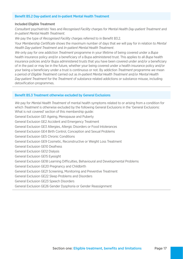#### Benefit B5.2 Day-patient and In-patient Mental Health Treatment

#### Included Eligible Treatment

*Consultant* psychiatrists' fees and *Recognised Facility* charges for *Mental Health Day-patient Treatment* and *In-patient Mental Health Treatment*.

*We* pay the type of *Recognised Facility* charges referred to in Benefit B3.2.

Your *Membership Certifcate* shows the maximum number of days that *we* will pay for in relation to *Mental Health Day-patient Treatment* and *In-patient Mental Health Treatment*.

*We* only pay for one addiction *Treatment* programme in your lifetime of being covered under a *Bupa*  health insurance policy and/or a benefciary of a Bupa administered trust. This applies to all *Bupa* health insurance policies and/or Bupa administered trusts that you have been covered under and/or a beneficiary of in the past or may be in the future, whether your being covered under a health insurance policy and/or your being a benefciary under a trust is continuous or not. By addiction *Treatment* programme *we* mean a period of *Eligible Treatment* carried out as *In-patient Mental Health Treatment* and/or *Mental Health Day-patient Treatment* for the *Treatment* of substance related addictions or substance misuse, including detoxification programmes.

#### Benefit B5.3 Treatment otherwise excluded by General Exclusions

*We* pay for *Mental Health Treatment* of mental health symptoms related to or arising from a condition for which *Treatment* is otherwise excluded by the following General Exclusions in the 'General Exclusions: What is not covered' section of this membership guide: General Exclusion GE1 Ageing, Menopause and Puberty General Exclusion GE2 Accident and Emergency Treatment General Exclusion GE3 Allergies, Allergic Disorders or Food Intolerances General Exclusion GE4 Birth Control, Conception and Sexual Problems General Exclusion GE5 Chronic Conditions General Exclusion GE9 Cosmetic, Reconstructive or Weight Loss Treatment General Exclusion GE10 Deafness General Exclusion GE12 Dialysis General Exclusion GE15 Eyesight General Exclusion GE18 Learning Difficulties, Behavioural and Developmental Problems General Exclusion GE20 Pregnancy and Childbirth General Exclusion GE21 Screening, Monitoring and Preventive Treatment General Exclusion GE22 Sleep Problems and Disorders General Exclusion GE23 Speech Disorders

General Exclusion GE26 Gender Dysphoria or Gender Reassignment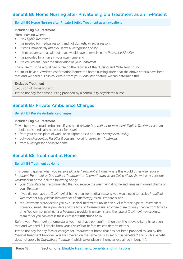#### Beneft B6 Home Nursing after Private Eligible Treatment as an In-Patient

#### Benefit B6 Home Nursing after Private Eligible Treatment as an In-patient

#### Included Eligible Treatment

Home nursing where:

- it is *Eligible Treatment*
- $\blacksquare$  it is needed for medical reasons and not domestic or social reasons
- it starts immediately after you leave a *Recognised Facility*
- it is necessary so that without it you would have to remain in the *Recognised Facility*
- it is provided by a nurse in your own home, and
- it is carried out under the supervision of your *Consultant*.

The nurse must be a qualifed nurse on the register of the Nursing and Midwifery Council. You must have *our* written confrmation before the home nursing starts that the above criteria have been met and *we* need full clinical details from your *Consultant* before *we* can determine this.

#### Excluded Treatment

Exclusion of Home Nursing *We* do not pay for home nursing provided by a community psychiatric nurse.

#### **Benefit B7 Private Ambulance Charges**

#### **Benefit B7 Private Ambulance Charges**

#### Included Eligible Treatment

Travel by private road ambulance if you need private *Day-patient* or *In-patient Eligible Treatment* and an ambulance is medically necessary for travel:

- from your home, place of work, or an airport or sea port, to a *Recognised Facility*
- between *Recognised Facilities* if you are moved for *In-patient Treatment*
- **Filter** from a *Recognised Facility* to home.

#### Benefit B8 Treatment at Home

#### Benefit B8 Treatment at Home

This benefit applies when you receive *Eligible Treatment* at home where this would otherwise require *In-patient Treatment* or *Day-patient Treatment* or *Chemotherapy* as an *Out-patient*. *We* will only consider *Treatment* at home if all the following apply:

- vour *Consultant* has recommended that you receive the *Treatment* at home and remains in overall charge of your *Treatment*
- if you did not have the *Treatment* at home then, for medical reasons, you would need to receive *In-patient Treatment* or *Day-patient Treatment* or *Chemotherapy* as an *Out-patient* and
- <sup>J</sup> the *Treatment* is provided to you by a Medical Treatment Provider on *our* list for the type of *Treatment* at home you need. These providers and the type of *Treatment we* recognise them for may change from time to time. You can ask *us* whether a *Treatment* provider is on *our* list and the type of *Treatment we* recognise them for or you can access these details at **finder.bupa.co.uk**

Before your *Treatment* at home starts you must have *our* confrmation that the above criteria have been met and *we* need full details from your *Consultant* before *we* can determine this.

*We* do not pay for any fees or charges for *Treatment* at home that has not been provided to you by the Medical Treatment Provider. You are covered on the same basis as set out in benefts 2 and 3. This beneft does not apply to *Out-patient Treatment* which takes place at home as explained in beneft 1.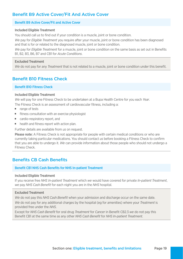#### Benefit B9 Active Cover/Fit And Active Cover

#### Benefit B9 Active Cover/Fit and Active Cover

#### Included Eligible Treatment

You should call *us* to find out if your condition is a muscle, joint or bone condition.

*We* pay for *Eligible Treatment* you require after your muscle, joint or bone condition has been diagnosed and that is for or related to the diagnosed muscle, joint or bone condition.

*We* pay for *Eligible Treatment* for a muscle, joint or bone condition on the same basis as set out in Benefts B1, B2, B3, B6, B7 and CB1 for *Acute Conditions*.

#### Excluded Treatment

*We* do not pay for any *Treatment* that is not related to a muscle, joint or bone condition under this beneft.

#### **Benefit B10 Fitness Check**

#### Benefit B10 Fitness Check

#### Included Eligible Treatment

*We* will pay for one Fitness Check to be undertaken at a Bupa Health Centre for you each *Year*.

The Fitness Check is an assessment of cardiovascular fitness, including a:

- $\blacksquare$  range of tests
- **Fitness consultation with an exercise physiologist**
- cardio-respiratory report, and
- $\blacksquare$  health and fitness report with action plan.

Further details are available from *us* on request.

Please note: A Fitness Check is not appropriate for people with certain medical conditions or who are currently taking particular medications. You should contact *us* before booking a Fitness Check to confrm that you are able to undergo it. *We* can provide information about those people who should not undergo a Fitness Check.

#### **Benefits CB Cash Benefits**

#### Benefit CB1 NHS Cash Benefits for NHS In-patient Treatment

#### Included Eligible Treatment

If you receive free *NHS In-patient Treatment* which *we* would have covered for private *In-patient Treatment*, *we* pay *NHS Cash Beneft* for each night you are in the *NHS* hospital.

#### Excluded Treatment

*We* do not pay this *NHS Cash Beneft* when your admission and discharge occur on the same date. *We* do not pay for any additional charges by the hospital (eg for amenities) where your *Treatment* is provided free under the *NHS*.

Except for *NHS Cash Beneft* for oral drug *Treatment* for *Cancer* in Beneft CB2.3 *we* do not pay this Beneft CB1 at the same time as any other *NHS Cash Beneft* for *NHS In-patient Treatment*.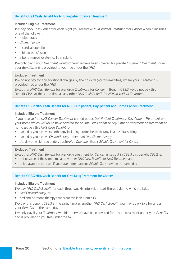#### Benefit CB2.1 Cash Benefit for NHS In-patient Cancer Treatment

#### Included Eligible Treatment

*We* pay *NHS Cash Beneft* for each night you receive *NHS In-patient Treatment* for *Cancer* when it includes one of the following:

- **n** radiotherapy
- **E** *Chemotherapy*
- $\blacksquare$  a surgical operation
- $\blacksquare$  a blood transfusion
- $\blacksquare$  a bone marrow or stem cell transplant.

*We* only pay if your *Treatment* would otherwise have been covered for private *In-patient Treatment* under your *Benefts* and is provided to you free under the *NHS*.

#### Excluded Treatment

*We* do not pay for any additional charges by the hospital (eg for amenities) where your *Treatment* is provided free under the *NHS*.

Except for *NHS Cash Beneft* for oral drug *Treatment* for *Cancer* in Beneft CB2.3 *we* do not pay this Beneft CB2.1 at the same time as any other *NHS Cash Beneft* for *NHS In-patient Treatment*.

#### Benefit CB2.2 NHS Cash Benefit for NHS Out-patient, Day-patient and Home Cancer Treatment

#### Included Eligible Treatment

If you receive free *NHS Cancer Treatment* carried out as *Out-Patient Treatment*, *Day-Patient Treatment* or in your home which *we* would have covered for private *Out-Patient* or *Day-Patient Treatment* or *Treatment* at home *we* pay this *NHS Cash Benefit* for:

- each day you receive radiotherapy including proton beam therapy in a hospital setting
- <sup>J</sup> each day you receive *Chemotherapy*, other than *Oral Chemotherapy*
- **the day on which you undergo a** *Surgical Operation* **that is** *Eligible Treatment* **for** *Cancer***.**

#### Excluded Treatment

Except for *NHS Cash Benefit* for oral drug treatment for *Cancer* as set out in CB2.3 this benefit CB2.2 is:

- **n** not payable at the same time as any other *NHS Cash Benefit* for *NHS Treatment* and
- **DED** only payable once, even if you have more than one *Eligible Treatment* on the same day.

#### Benefit CB2.3 NHS Cash Benefit for Oral Drug Treatment for Cancer

#### Included Eligible Treatment

*We* pay *NHS Cash Benefit* for each three-weekly interval, or part thereof, during which to take:

- **n** *Oral Chemotherapy*, or
- oral anti-hormone therapy that is not available from a GP.

*We* pay this benefit CB2.3 at the same time as another *NHS Cash Benefit* you may be eligible for under vour *Benefits* on the same day.

*We* only pay if your *Treatment* would otherwise have been covered for private treatment under your *Benefts*  and is provided to you free under the *NHS*.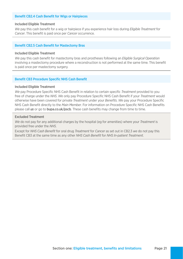#### Benefit CB2.4 Cash Benefit for Wigs or Hairpieces

#### Included Eligible Treatment

*We* pay this cash benefit for a wig or hairpiece if you experience hair loss during *Eligible Treatment* for *Cancer*. This benefit is paid once per *Cancer* occurrence.

#### Benefit CB2.5 Cash Benefit for Mastectomy Bras

#### Included Eligible Treatment

*We* pay this cash beneft for mastectomy bras and prostheses following an *Eligible Surgical Operation*  involving a mastectomy procedure where a reconstruction is not performed at the same time. This beneft is paid once per mastectomy surgery.

#### Benefit CB3 Procedure Specific NHS Cash Benefit

#### Included Eligible Treatment

We pay Procedure Specific NHS Cash Benefit in relation to certain specific *Treatment* provided to you free of charge under the *NHS*. *We* only pay Procedure Specifc NHS Cash Beneft if your *Treatment* would otherwise have been covered for private *Treatment* under your *Benefts*. *We* pay your Procedure Specifc NHS Cash Benefit directly to the *Main Member*. For information on Procedure Specific NHS Cash Benefits please call *us* or go to bupa.co.uk/pscb. These cash benefts may change from time to time.

#### Excluded Treatment

*We* do not pay for any additional charges by the hospital (eg for amenities) where your *Treatment* is provided free under the *NHS*.

Except for *NHS Cash Beneft* for oral drug *Treatment* for *Cancer* as set out in CB2.3 *we* do not pay this Beneft CB3 at the same time as any other *NHS Cash Beneft* for *NHS In-patient Treatment*.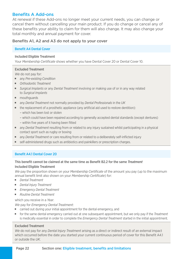#### Benefits A Add-ons

At renewal if these Add-ons no longer meet your current needs, you can change or cancel them without cancelling your main product. If you do change or cancel any of these benefts your ability to claim for them will also change. It may also change your total monthly and annual payment for cover.

#### Benefits A1, A2 and A3 do not apply to your cover

#### **Benefit A4 Dental Cover**

#### Included Eligible Treatment

Your *Membership Certifcate* shows whether you have Dental Cover 20 or Dental Cover 10.

#### Excluded Treatment

*We* do not pay for:

- **n** any *Pre-existing Condition*
- **n** *Orthodontic Treatment*
- **Jurgical Implants** or any *Dental Treatment* involving or making use of or in any way related to *Surgical Implants*
- **mouthguards**
- any *Dental Treatment* not normally provided by *Dental Professionals* in the UK
- $\blacksquare$  the replacement of a prosthetic appliance (any artificial aid used to restore dentition):
	- which has been lost or stolen
	- which could have been repaired according to generally accepted dental standards (except dentures)
	- within five years of it having been fitted
- **The any** *Dental Treatment* resulting from or related to any injury sustained whilst participating in a physical contact sport such as rugby or boxing
- **n** any *Dental Treatment* or care resulting from or related to a deliberately self-inflicted injury
- **Juber 1** self-administered drugs such as antibiotics and painkillers or prescription charges.

#### Benefit A4.1 Dental Cover 20

#### This benefit cannot be claimed at the same time as Benefit B2.2 for the same *Treatment* Included Eligible Treatment

*We* pay the proportion shown on your *Membership Certificate* of the amount you pay (up to the maximum annual beneft limit also shown on your *Membership Certifcate*) for:

- <sup>J</sup> *Dental Treatment*
- **Dental Injury Treatment**
- **E** *Emergency Dental Treatment*
- **B** *Routine Dental Treatment*

which you receive in a *Year*.

*We* pay for *Emergency Dental Treatment*:

- **EXEC** carried out during your initial appointment for the dental emergency, and
- for the same dental emergency carried out at one subsequent appointment, but *we* only pay if the *Treatment* is medically essential in order to complete the *Emergency Dental Treatment* started in the initial appointment.

#### Excluded Treatment

*We* do not pay for any *Dental Injury Treatment* arising as a direct or indirect result of an external impact which occurred before the date you started your current continuous period of cover for this Benefit A4.1 or outside the *UK*.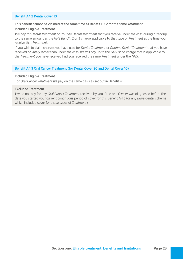#### Benefit A4.2 Dental Cover 10

#### This beneft cannot be claimed at the same time as Beneft B2.2 for the same *Treatment* Included Eligible Treatment

*We* pay for *Dental Treatment* or *Routine Dental Treatment* that you receive under the *NHS* during a *Year* up to the same amount as the *NHS Band* 1, 2 or 3 charge applicable to that type of *Treatment* at the time you receive that *Treatment*.

If you wish to claim charges you have paid for *Dental Treatment* or *Routine Dental Treatment* that you have received privately rather than under the *NHS*, *we* will pay up to the *NHS Band* charge that is applicable to the *Treatment* you have received had you received the same *Treatment* under the *NHS*.

#### Benefit A4.3 Oral Cancer Treatment (for Dental Cover 20 and Dental Cover 10)

#### Included Eligible Treatment

For *Oral Cancer Treatment we* pay on the same basis as set out in Beneft 4.1.

#### Excluded Treatment

*We* do not pay for any *Oral Cancer Treatment* received by you if the oral *Cancer* was diagnosed before the date you started your current continuous period of cover for this Beneft A4.3 (or any *Bupa* dental scheme which included cover for those types of *Treatment*).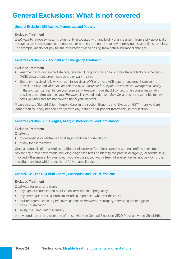# **General Exclusions: What is not covered**

#### General Exclusion GE1 Ageing, Menopause and Puberty

#### Excluded Treatment

*Treatment* to relieve symptoms commonly associated with any bodily change arising from a physiological or natural cause, such as ageing, menopause or puberty and not due to any underlying disease, illness or injury. For example, *we* do not pay for the *Treatment* of acne arising from natural hormonal changes.

#### General Exclusion GE2 Accident and Emergency Treatment

#### Excluded Treatment

- *Treatment*, including immediate care, received during a visit to an *NHS* or private accident and emergency (A&E) department, urgent care centre or walk in clinic.
- Treatment received following an admission via an NHS or private A&E department, urgent care centre or walk-in clinic until after you are referred by a *Consultant* for *Eligible Treatment* in a *Recognised Facility*. In these circumstances, before you receive any *Treatment*, you should contact *us* as soon as reasonably possible to confrm whether your *Treatment* is covered under your *Benefts* as you are responsible for any costs you incur that are not covered under your *Benefits*.

Please also see 'Beneft 3.2.4 Intensive Care' in the section Benefts and 'Exclusion GE17 Intensive Care (other than routinely needed after private day-patient or in-patient treatment') in this section.

#### General Exclusion GE3 Allergies, Allergic Disorders or Food Intolerances

#### Excluded Treatment

*Treatment*:

- $\blacksquare$  to de-sensitise or neutralise any allergic condition or disorder, or
- of any food intolerance.

Once a diagnosis of an allergic condition or disorder or food intolerance has been confrmed *we* do not pay for any further *Treatment*, including diagnostic tests, to identify the precise allergen(s) or foodstuf(s) involved – this means, for example, if you are diagnosed with a tree nut allergy *we* will not pay for further investigations into which specific nut(s) you are allergic to.

#### General Exclusion GE4 Birth Control, Conception and Sexual Problems

#### Excluded Treatment

*Treatment* for or arising from:

- $\blacksquare$  any type of contraception, sterilisation, termination of pregnancy
- n any other type of sexual problem including impotence, whatever the cause
- **July 2018** assisted reproduction (eg IVF investigations or *Treatment*), surrogacy, harvesting donor eggs or donor insemination
- solely, the *Treatment* of infertility

or any condition arising from any of these. Also see General Exclusion GE20 Pregnancy and Childbirth.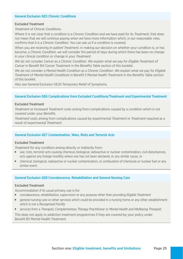#### General Exclusion GE5 Chronic Conditions

#### Excluded Treatment

*Treatment* of *Chronic Conditions*.

Where it is not clear that a condition is a *Chronic Condition* and *we* have paid for its *Treatment*, that does not mean that *we* will continue paying when *we* have more information which, in *our* reasonable view, confrms that it is a *Chronic Condition*. You can ask *us* if a condition is covered.

When you are receiving *In-patient Treatment*, in making *our* decision on whether your condition is, or has become, a *Chronic Condition*, *we* will consider the period of days during which there has been no change in your clinical condition or change in your *Treatment*.

*We* do not consider *Cancer* as a *Chronic Condition*. *We* explain what *we* pay for *Eligible Treatment* of *Cancer* in Benefit B4 Cancer Treatment in the Benefits Table section of this booklet.

*We* do not consider a *Mental Health Condition* as a *Chronic Condition*. *We* explain what *we* pay for *Eligible Treatment* of *Mental Health Conditions* in Beneft 5 Mental Health Treatment in the Benefts Table section of this booklet.

Also see General Exclusion GE24 Temporary Relief of Symptoms.

#### General Exclusion GE6 Complications from Excluded Conditions/Treatment and Experimental Treatment

#### Excluded Treatment

*Treatment* or increased *Treatment* costs arising from complications caused by a condition which is not covered under your *Benefts*.

*Treatment* costs arising from complications caused by experimental *Treatment* or *Treatment* required as a result of experimental *Treatment*.

#### General Exclusion GE7 Contamination, Wars, Riots and Terrorist Acts

#### Excluded Treatment

*Treatment* for any condition arising directly or indirectly from:

- var, riots, terrorist acts causing chemical, biological, radioactive or nuclear contamination, civil disturbances, acts against any foreign hostility where war has not been declared, or any similar cause, or
- $\blacksquare$  chemical, biological, radioactive or nuclear contamination, or combustion of chemicals or nuclear fuel or any similar event.

#### General Exclusion GE8 Convalescence, Rehabilitation and General Nursing Care

#### Excluded Treatment

Accommodation if its usual primary use is for:

- **DEDIT** convalescence, rehabilitation, supervision or any purpose other than providing *Eligible Treatment*
- q general nursing care or other services which could be provided in a nursing home or any other establishment which is not a *Recognised Facility*
- **Exercises from a** *Therapist***,** *Complementary Therapy Practitioner* **or** *Mental Health and Wellbeing Therapist***.**

This does not apply to addiction treatment programmes if they are covered by your policy under Benefit B5 Mental Health Treatment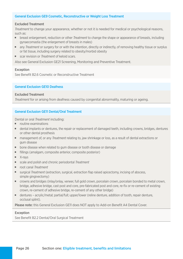#### General Exclusion GE9 Cosmetic, Reconstructive or Weight Loss Treatment

#### Excluded Treatment

*Treatment* to change your appearance, whether or not it is needed for medical or psychological reasons, such as:

- **Dimeter is a breast enlargement, reduction or other** *Treatment* to change the shape or appearance of breasts, including gynaecomastia (the enlargement of breasts in males)
- $\blacksquare$  any *Treatment* or surgery for or with the intention, directly or indirectly, of removing healthy tissue or surplus or fat tissue, including surgery related to obesity/morbid obesity
- scar revision or *Treatment* of keloid scars.

Also see General Exclusion GE21 Screening, Monitoring and Preventive Treatment.

#### Exception

See Benefit B2.6 Cosmetic or Reconstructive Treatment

#### General Exclusion GE10 Deafness

#### Excluded Treatment

*Treatment* for or arising from deafness caused by congenital abnormality, maturing or ageing.

#### General Exclusion GE11 Dental/Oral Treatment

Dental or oral *Treatment* including:

- $\blacksquare$  routine examinations
- $\blacksquare$  dental implants or dentures, the repair or replacement of damaged teeth, including crowns, bridges, dentures or other dental prosthesis
- **The management of, or any** *Treatment* relating to, jaw shrinkage or loss, as a result of dental extractions or gum disease
- $\blacksquare$  bone disease when related to gum disease or tooth disease or damage
- $\blacksquare$  fillings (amalgam, composite anterior, composite posterior)
- $\blacksquare$  X-rays
- scale and polish and chronic periodontal *Treatment*
- root canal *Treatment*
- **Julget Surgical** *Treatment* (extraction, surgical, extraction flap raised apicectomy, incising of abscess, simple gingivectomy)
- crowns and bridges (inlay/onlay, veneer, full gold crown, porcelain crown, porcelain bonded to metal crown, bridge, adhesive bridge, cast post and core, pre-fabricated post and core, re-fx or re-cement of existing crown, re-cement of adhesive bridge, re-cement of any other bridge)
- dentures acrylic/metal; partial/full; upper/lower (reline denture, addition of tooth, repair denture, occlusal splint).

Please note: this General Exclusion GE11 does NOT apply to Add-on Benefit A4 Dental Cover.

#### Exception

See Benefit B2.2 Dental/Oral Surgical Treatment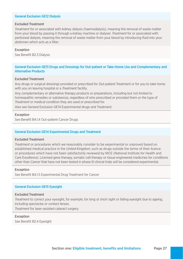#### General Exclusion GE12 Dialysis

#### Excluded Treatment

*Treatment* for or associated with kidney dialysis (haemodialysis), meaning the removal of waste matter from your blood by passing it through a kidney machine or dialyser. *Treatment* for or associated with peritoneal dialysis, meaning the removal of waste matter from your blood by introducing fuid into your abdomen which acts as a filter

#### Exception

See Benefit B2.3 Dialysis

#### General Exclusion GE13 Drugs and Dressings for Out-patient or Take-Home Use and Complementary and Alternative Products

#### Excluded Treatment

Any drugs or surgical dressings provided or prescribed for *Out-patient Treatment* or for you to take home with you on leaving hospital or a *Treatment* facility.

Any complementary or alternative therapy products or preparations, including but not limited to homeopathic remedies or substances, regardless of who prescribed or provided them or the type of *Treatment* or medical condition they are used or prescribed for.

Also see General Exclusion GE14 Experimental drugs and Treatment.

#### Exception

See Benefit B4.1.4 Out-patient Cancer Drugs

#### General Exclusion GE14 Experimental Drugs and Treatment

#### Excluded Treatment

*Treatment* or procedures which *we* reasonably consider to be experimental or unproved based on established medical practice in the *United Kingdom*, such as drugs outside the terms of their licence or procedures which have not been satisfactorily reviewed by NICE (National Institute for Health and Care Excellence). Licensed gene therapy, somatic-cell therapy or tissue engineered medicines for conditions other than *Cancer* that have not been tested in phase III clinical trials will be considered experimental.

#### Exception

See Benefit B4.1.5 Experimental Drug Treatment for Cancer

#### General Exclusion GE15 Eyesight

#### Excluded Treatment

*Treatment* to correct your eyesight, for example, for long or short sight or failing eyesight due to ageing, including spectacles or contact lenses.

*Treatment* for laser-assisted cataract surgery.

#### Exception

See Benefit B2.4 Eyesight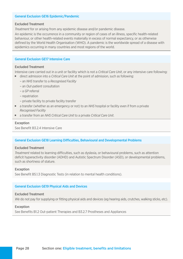#### General Exclusion GE16 Epidemic/Pandemic

#### Excluded Treatment

*Treatment* for or arising from any epidemic disease and/or pandemic disease.

An epidemic is the occurrence in a community or region of cases of an illness, specifc health-related behaviour, or other health-related events materially in excess of normal expectancy, or as otherwise defined by the World Health Organisation (WHO). A pandemic is the worldwide spread of a disease with epidemics occurring in many countries and most regions of the world.

#### General Exclusion GE17 Intensive Care

#### Excluded Treatment

Intensive care carried out in a unit or facility which is not a *Critical Care Unit*, or any intensive care following: **Journal direct admission into a** *Critical Care Unit* **at the point of admission, such as following:** 

- an *NHS* transfer to a *Recognised Facility*
- an *Out-patient* consultation
- a *GP* referral
- repatriation
- private facility to private facility transfer
- a transfer (whether as an emergency or not) to an *NHS* hospital or facility even if from a private *Recognised Facility*
- a transfer from an *NHS Critical Care Unit* to a private *Critical Care Unit*.

#### Exception

See Benefit B3.2.4 Intensive Care

#### General Exclusion GE18 Learning Difficulties, Behavioural and Developmental Problems

#### Excluded Treatment

*Treatment* related to learning difficulties, such as dyslexia, or behavioural problems, such as attention deficit hyperactivity disorder (ADHD) and Autistic Spectrum Disorder (ASD), or developmental problems, such as shortness of stature.

#### Exception

See Benefit B5.1.3 Diagnostic Tests (in relation to mental health conditions).

#### General Exclusion GE19 Physical Aids and Devices

#### Excluded Treatment

*We* do not pay for supplying or ftting physical aids and devices (eg hearing aids, crutches, walking sticks, etc).

#### Exception

See Benefits B1.2 Out-patient Therapies and B3.2.7 Prostheses and Appliances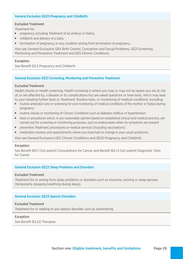#### General Exclusion GE20 Pregnancy and Childbirth

#### Excluded Treatment

*Treatment* for:

- **Paramerica** pregnancy, including *Treatment* of an embryo or foetus
- $\blacksquare$  childbirth and delivery of a baby
- **EXECT** termination of pregnancy, or any condition arising from termination of pregnancy.

Also see General Exclusions GE4 Birth Control, Conception and Sexual Problems, GE21 Screening, Monitoring and Preventive Treatment and GE5 Chronic Conditions.

#### Exception

See Benefit B2.5 Pregnancy and Childbirth

#### General Exclusion GE21 Screening, Monitoring and Preventive Treatment

#### Excluded Treatment

Health checks or health screening. Health screening is where you may or may not be aware you are at risk of, or are afected by, a disease or its complications but are asked questions or have tests, which may lead to your needing further tests or *Treatment*. Routine tests, or monitoring of medical conditions, including:

- $\blacksquare$  routine antenatal care or screening for and monitoring of medical conditions of the mother or foetus during pregnancy
- **•** routine checks or monitoring of *Chronic Conditions* such as diabetes mellitus or hypertension
- $\blacksquare$  tests or procedures which, in *our* reasonable opinion based on established clinical and medical practice, are carried out for screening or monitoring purposes, such as endoscopies when no symptoms are present
- **Demo** preventive *Treatment*, procedures or medical services (including vaccinations)
- $\blacksquare$  medication reviews and appointments where you have had no change in your usual symptoms.

Also see General Exclusions GE5 Chronic Conditions and GE20 Pregnancy and Childbirth.

#### Exception

See Beneft B4.1.1 Out-patient Consultations for Cancer and Beneft B4.1.3 Out-patient Diagnostic Tests for Cancer

#### General Exclusion GE22 Sleep Problems and Disorders

#### Excluded Treatment

*Treatment* for or arising from sleep problems or disorders such as insomnia, snoring or sleep apnoea (temporarily stopping breathing during sleep).

#### General Exclusion GE23 Speech Disorders

#### Excluded Treatment

*Treatment* for or relating to any speech disorder, such as stammering.

#### Exception

See Benefit B3.2.6 Therapies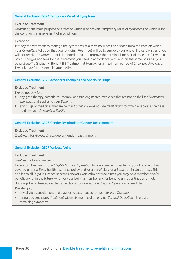#### General Exclusion GE24 Temporary Relief of Symptoms

#### Excluded Treatment

*Treatment*, the main purpose or efect of which is to provide temporary relief of symptoms or which is for the continuing management of a condition.

#### Exception

*We* pay for *Treatment* to manage the symptoms of a terminal illness or disease from the date on which your *Consultant* tells you that your ongoing *Treatment* will be to support your end of life care only and you will not receive *Treatment* that is intended to halt or improve the terminal illness or disease itself. *We* then pay all charges and fees for the *Treatment* you need in accordance with, and on the same basis as, your other *Benefits* (including Benefit B8 Treatment at Home), for a maximum period of 21 consecutive days. *We* only pay for this once in your lifetime.

#### General Exclusion GE25 Advanced Therapies and Specialist Drugs

#### Excluded Treatment

*We* do not pay for:

- **n** any gene therapy, somatic-cell therapy or tissue engineered medicines that are not on the list of *Advanced Therapies* that applies to your *Benefits*
- $\blacksquare$  any drugs or medicines that are neither *Common Drugs* nor *Specialist Drugs* for which a separate charge is made by your *Recognised Facility*.

#### General Exclusion GE26 Gender Dysphoria or Gender Reassignment

#### Excluded Treatment

*Treatment* for *Gender Dysphoria* or gender reassignment.

#### General Exclusion GE27 Varicose Veins

#### Excluded Treatment

*Treatment* of varicose veins.

Exception: *We* pay for one *Eligible Surgical Operation* for varicose veins per leg in your lifetime of being covered under a *Bupa* health insurance policy and/or a beneficiary of a *Bupa* administered trust. This applies to all *Bupa* insurance schemes and/or *Bupa* administered trusts you may be a member and/or beneficiary of in the future, whether your being a member and/or beneficiary is continuous or not. Both legs being treated on the same day is considered one *Surgical Operation* on each leg. *We* also pay:

- **F** any eligible consultations and diagnostic tests needed for your *Surgical Operation*
- a single sclerotherapy *Treatment* within six months of an original *Surgical Operation* if there are remaining symptoms.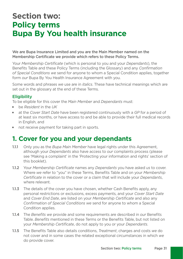# **Section two: Policy terms Bupa By You health insurance**

#### We are Bupa Insurance Limited and you are the Main Member named on the Membership Certificate we provide which refers to these Policy Terms.

Your *Membership Certifcate* (which is personal to you and your *Dependants*), the Benefts Table and these Policy Terms (including the Glossary) and any *Confrmation of Special Conditions we* send for anyone to whom a Special Condition applies, together form *our* Bupa By You Health Insurance Agreement with you.

Some words and phrases *we* use are in *italics*. These have technical meanings which are set out in the glossary at the end of these Terms.

#### **Eligibility**

To be eligible for this cover the *Main Member* and *Dependants* must:

- be *Resident* in the UK
- **EXECOVER 1** at the *Cover Start Date* have been registered continuously with a *GP* for a period of at least six months, or have access to and be able to provide their full medical records in English, and
- not receive payment for taking part in sports.

### **1. Cover for you and your dependants**

- 1.1.1 Only you as the *Bupa Main Member* have legal rights under this Agreement, although your *Dependants* also have access to *our* complaints process (please see 'Making a complaint' in the 'Protecting your information and rights' section of this booklet).
- 1.1.2 Your *Membership Certifcate* names any *Dependants* you have asked *us* to cover. Where *we* refer to "you" in these Terms, Benefts Table and on your *Membership Certifcate* in relation to the cover or a claim that will include your *Dependants*, where relevant.
- 1.1.3 The details of the cover you have chosen, whether Cash Benefits apply, any personal restrictions or exclusions, excess payments, and your *Cover Start Date*  and *Cover End Date*, are listed on your *Membership Certifcate* and also any *Confrmation of Special Conditions we* send for anyone to whom a Special Condition applies.
- 1.1.4 The *Benefts we* provide and some requirements are described in *our* Benefts Table. *Benefts* mentioned in these Terms or the Benefts Table, but not listed on your *Membership Certifcate*, do not apply to you or your *Dependants*.
- not cover and in some cases the related exceptional circumstances in which *we*  1.1.5 The Benefts Table also details conditions, *Treatment*, charges and costs *we* do do provide cover.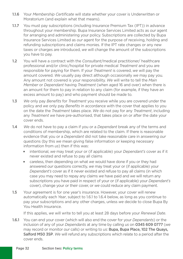- 1.1.6 Your *Membership Certifcate* will state whether your cover is Underwritten or Moratorium (and explain what that means).
- 1.1.7 You must pay subscriptions (including Insurance Premium Tax (IPT)) in advance throughout your membership. Bupa Insurance Services Limited acts as *our* agent for arranging and administering your policy. Subscriptions are collected by Bupa Insurance Services Limited as *our* agent for the purpose of receiving, holding and refunding subscriptions and claims monies. If the IPT rate changes or any new taxes or charges are introduced, *we* will change the amount of the subscriptions you have to pay.
- 1.2 You will have a contract with the *Consultant*/medical practitioner/ healthcare professional and/or clinic/hospital for private medical *Treatment* and you are responsible for paying for them. If your *Treatment* is covered, *we* will pay the amount covered. *We* usually pay direct although occasionally *we* may pay you. Any amount not covered is your responsibility. *We* will write to tell the *Main Member* or *Dependant* having *Treatment* (when aged 16 and over) when there is an amount for them to pay in relation to any claim (for example, if they have an excess amount to pay) and who payment should be made to.
- 1.3 *We* only pay *Benefts* for *Treatment* you receive while you are covered under the policy and *we* only pay *Benefts* in accordance with the cover that applies to you on the date the *Treatment* takes place. *We* do not pay for any *Treatment*, including any *Treatment we* have pre-authorised, that takes place on or after the date your cover ends.
- 1.4 *We* do not have to pay a claim if you or a *Dependant* break any of the terms and conditions of membership, which are related to the claim. If there is reasonable evidence that you or a *Dependant* did not take reasonable care in answering *our*  questions (by this *we* mean giving false information or keeping necessary information from *us*) then if this was:
	- intentional, we may treat your or (if applicable) your *Dependant's* cover as if it never existed and refuse to pay all claims
	- **EXECT** careless, then depending on what we would have done if you or they had answered *our* questions correctly, *we* may treat your or (if applicable) your *Dependant's* cover as if it never existed and refuse to pay all claims (in which case you may need to repay any claims *we* have paid and *we* will return any subscriptions you have paid in respect of your or (if applicable) your *Dependant's*  cover), change your or their cover, or *we* could reduce any claim payment.
- 1.5 Your agreement is for one year's insurance. However, your cover will renew automatically each *Year*, subject to 1.6.1 to 1.6.4 below, as long as you continue to pay your subscriptions and any other charges, unless *we* decide to close Bupa By You Health Insurance.

If this applies, *we* will write to tell you at least 28 days before your *Renewal Date*.

1.6.1 You can end your cover (which will also end the cover for your *Dependants*) or the inclusion of any of your *Dependants* at any time by calling *us* on 0345 609 0777 (*we*  may record or monitor *our* calls) or writing to *us*: Bupa, Bupa Place, 102 The Quays, Salford M50 3SP. *We* will refund any subscriptions which relate to a period after the cover ends.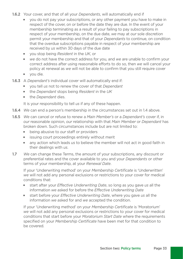- 1.6.2 Your cover, and that of all your *Dependants*, will automatically end if
	- $\bullet$  you do not pay your subscriptions, or any other payment you have to make in respect of the cover, on or before the date they are due. In the event of your membership terminating as a result of your failing to pay subscriptions in respect of your membership, on the due date, *we* may at *our* sole discretion permit your membership and that of your *Dependants* to continue, on condition that the overdue subscriptions payable in respect of your membership are received by *us* within 30 days of the due date
	- vou stop being *Resident* in the UK, or
	- we do not have the correct address for you, and we are unable to confirm your correct address after using reasonable efforts to do so, then *we* will cancel your policy at renewal as *we* will not be able to confrm that you still require cover
	- vou die.
- 1.6.3 A *Dependant's* individual cover will automatically end if:
	- vou tell us not to renew the cover of that *Dependant*
	- the *Dependant* stops being *Resident* in the UK
	- **the Dependant dies.**

It is your responsibility to tell *us* if any of these happen.

- 1.6.4 *We* can end a person's membership in the circumstances set out in 1.4 above.
- 1.6.5 *We* can cancel or refuse to renew a *Main Member's* or a *Dependant's* cover if, in *our* reasonable opinion, *our* relationship with that *Main Member* or *Dependant* has broken down. Such circumstances include but are not limited to:
	- **I** being abusive to *our* staff or providers
	- s issuing court proceedings entirely without merit
	- **Juar 20** any action which leads us to believe the member will not act in good faith in their dealings with *us*.
- 1.7 *We* can change these Terms, the amount of your subscriptions, any discount or preferential rates and the cover available to you and your *Dependants* or other terms of your membership, at your *Renewal Date*.

If your 'Underwriting method' on your *Membership Certifcate* is 'Underwritten' *we* will not add any personal exclusions or restrictions to your cover for medical conditions that:

- **start after your** *Effective Underwriting Date*, so long as you gave us all the information *we* asked for before the *Effective Underwriting Date*
- **start before your** *Effective Underwriting Date*, where you gave us all the information *we* asked for and *we* accepted the condition.

If your 'Underwriting method' on your *Membership Certifcate* is 'Moratorium' *we* will not add any personal exclusions or restrictions to your cover for medical conditions that start before your *Moratorium Start Date* where the requirements specifed on your *Membership Certifcate* have been met for that condition to be covered.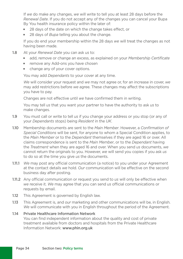If *we* do make any changes, *we* will write to tell you at least 28 days before the *Renewal Date*. If you do not accept any of the changes you can cancel your Bupa By You health insurance policy within the later of:

- 28 days of the date on which the change takes effect, or
- **28 days of** *Bupa* telling you about the change.

If you do end your membership within the 28 days *we* will treat the changes as not having been made.

- 1.8 At your *Renewal Date* you can ask *us* to:
	- **add, remove or change an excess, as explained on your** *Membership Certificate*
	- **F** remove any Add-ons you have chosen
	- change any of your cover options.

You may add *Dependants* to your cover at any time.

*We* will consider your request and *we* may not agree or, for an increase in cover, *we*  may add restrictions before *we* agree. These changes may affect the subscriptions you have to pay.

Changes are not effective until *we* have confrmed them in writing.

 You may tell *us* that you want your partner to have the authority to ask *us* to make changes.

- 1.9 You must call or write to tell *us* if you change your address or you stop (or any of your *Dependants* stops) being *Resident* in the *UK*.
- 1.10 Membership documents are sent to the *Main Member*. However, a *Confrmation of Special Conditions* will be sent, for anyone to whom a Special Condition applies, to the *Main Member* or to the *Dependant* themselves if they are aged 16 or over. All claims correspondence is sent to the *Main Member*, or to the *Dependant* having the *Treatment* when they are aged 16 and over. When you send *us* documents, *we*  cannot return the originals to you. However, *we* will send you copies if you ask *us*  to do so at the time you give *us* the documents.
- 1.11.1 *We* may post any offcial communication (a notice) to you under your Agreement at the contact details *we* hold. *Our* communication will be effective on the second business day after posting.
- 1.11.2 Any official communication or request you send to us will only be effective when *we* receive it. We may agree that you can send us official communications or requests by email.
- 1.12 This Agreement is governed by English law.
- 1.13 This Agreement is, and *our* marketing and other communications will be, in English. *We* will communicate with you in English throughout the period of the Agreement.

#### 1.14 Private Healthcare Information Network You can find independent information about the quality and cost of private treatment available from doctors and hospitals from the Private Healthcare Information Network: <www.phin.org.uk>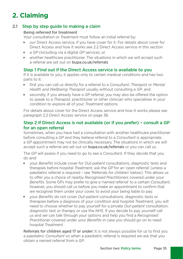# **2. Claiming**

#### 2.1 Step by step quide to making a claim

#### Being referred for treatment

Your consultation or *Treatment* must follow an initial referral by:

- *our* Direct Access service, if you have cover for it. For details about cover for Direct Access and how it works see 2.2 Direct Access service in this section
- a *GP* (including via a digital *GP* service), or
- **F** another healthcare practitioner. The situations in which *we* will accept such a referral are set out on bupa.co.uk/referrals

#### Step 1 Find out if the Direct Access service is available to you

If it is available to you, it applies only to certain medical conditions and has two parts to it:

- first you can call us directly for a referral to a *Consultant*, *Therapist* or *Mental Health and Wellbeing Therapist* usually without consulting a *GP*, and
- **Example 3** secondly, if you already have a *GP* referral, you may also be offered the option to speak to a *Therapist*, practitioner or other clinician who specialises in your condition to explore all of your *Treatment* options.

For details about cover for the Direct Access service and how it works please see paragraph 2.2 Direct Access service on page 36.

#### Step 2 If Direct Access is not available (or if you prefer) – consult a GP for an open referral

Sometimes, when you have had a consultation with another healthcare practitioner before consulting a *GP* and they believe referral to a *Consultant* is appropriate, a *GP* appointment may not be clinically necessary. The situations in which *we* will accept such a referral are set out on bupa.co.uk/referrals or you can call *us*.

The *GP* will assess if you need to go to see a *Consultant*. If they decide that you do and:

- **Juber 1** your *Benefits* include cover for *Out-patient* consultations, diagnostic tests and therapies before hospital *Treatment*, ask the *GP* for an 'open referral' (unless a paediatric referral is required – see 'Referrals for children' below). This allows *us*  to offer you a choice of nearby *Recognised Practitioners* covered under your *Benefts*. Some GPs may prefer to give a 'named referral' to a certain *Consultant*, however, you should call *us* before you make an appointment to confrm that *we* recognise them under your cover, to avoid your being liable to pay.
- **July 10** your *Benefits* do not cover *Out-patient* consultations, diagnostic tests or therapies before a diagnosis of your condition and hospital *Treatment*, you will need to choose whether to pay yourself for a private *Out-patient* consultation, diagnostic test or therapy or use the *NHS*. If you decide to pay yourself call *us* and *we* can talk through your options and help you fnd a *Recognised Practitioner* covered under your *Benefts* in case you should go on to need hospital *Treatment*.

Referrals for children aged 17 or under: It is not always possible for *us* to fnd you a paediatric *Consultant* so when a paediatric referral is required *we* ask that you obtain a named referral from a *GP*.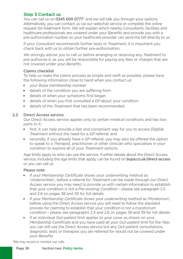#### Step 3 Contact us

You can call *us* on 0345 609 0777\* and *we* will talk you through your options. Alternatively, you can contact *us* via *our* webchat service or complete the online request for treatment form. *We* will explain which nearby *Consultants*, facilities and healthcare professionals are covered under your *Benefts* and provide you with a pre-authorisation number so your healthcare provider can send the bill directly to *us*.

If your *Consultant* recommends further tests or *Treatment*, it is important you check back with *us* to obtain further pre-authorisation.

 *We* strongly advise you to call *us* before arranging or receiving any *Treatment* to pre-authorise it, as you will be responsible for paying any fees or charges that are not covered under your *Benefts*.

#### Claims checklist

To help *us* make the claims process as simple and swift as possible, please have the following information close to hand when you contact *us*:

- vour *Bupa* membership number
- $\blacksquare$  details of the condition you are suffering from
- **details of when your symptoms first began**
- **details of when you first consulted a GP about your condition**
- <sup>J</sup> details of the *Treatment* that has been recommended.

#### 2.2 Direct Access service

*Our* Direct Access service applies only to certain medical conditions and has two parts to it:

- first, it can help provide a fast and convenient way for you to access *Eligible Treatment* without the need for a *GP* referral, and
- <sup>J</sup> secondly, if you already have a *GP* referral, you may also be offered the option to speak to a *Therapist*, practitioner or other clinician who specialises in your condition to explore all of your *Treatment* options.

Age limits apply to who can use the service. Further details about the Direct Access service, including the age limits that apply, can be found on bupa.co.uk/direct-access or you can call *us*.

#### Please note:

- If your *Membership Certificate* shows your underwriting method as 'Underwritten', before a referral for *Treatment* can be made through *our* Direct Access service you may need to provide *us* with certain information to establish that your condition is not a *Pre-existing Condition* – please see paragraph 2.5 and 2.6 on pages 38 and 39 for full details
- **July 1** if your *Membership Certificate* shows your underwriting method as 'Moratorium', before using the Direct Access service you will need to follow the standard process for claiming to establish that your condition is not a moratorium condition – please see paragraphs 2.4 and 2.6 on pages 38 and 39 for full details
- **F** if an individual *Out-patient* limit applies to your cover as shown on your *Membership Certifcate* and you have used all your *Out-patient* limit for the *Year*, you can still use the Direct Access service but any *Out-patient* consultations, diagnostic tests or therapies you are referred for would not be covered under your *Benefts*

\*We may record or monitor our calls.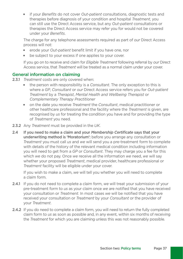**July 1** if your *Benefits* do not cover *Out-patient* consultations, diagnostic tests and therapies before diagnosis of your condition and hospital *Treatment*, you can still use the Direct Access service, but any *Out-patient* consultations or therapies the Direct Access service may refer you for would not be covered under vour *Benefits*.

The charge for any telephone assessments required as part of *our* Direct Access process will not:

- erode your *Out-patient* benefit limit if you have one, nor
- De subject to your excess if one applies to your cover.

 If you go on to receive and claim for *Eligible Treatment* following referral by *our* Direct Access service, that *Treatment* will be treated as a normal claim under your cover.

#### General information on claiming

- 2.3.1 *Treatment* costs are only covered when:
	- the person with responsibility is a *Consultant*. The only exception to this is where a *GP*, *Consultant* or *our* Direct Access service refers you for *Out-patient Treatment* by a *Therapist*, *Mental Health and Wellbeing Therapist* or *Complementary Therapy Practitioner*
	- **n** on the date you receive *Treatment* the *Consultant*, medical practitioner or other healthcare professional and the facility where the *Treatment* is given, are recognised by *us* for treating the condition you have and for providing the type of *Treatment* you need.
- 2.3.2 Any *Treatment* must be provided in the *UK*.
- 2.4 If you need to make a claim and your *Membership Certifcate* says that your underwriting method is 'Moratorium': before you arrange any consultation or *Treatment* you must call *us* and *we* will send you a pre-treatment form to complete with details of the history of the relevant medical condition including information you will need to get from a *GP* or *Consultant*. They may charge you a fee for this which *we* do not pay. Once *we* receive all the information *we* need, *we* will say whether your proposed *Treatment*, medical provider, healthcare professional or *Treatment* facility will be eligible under your cover.

If you wish to make a claim, *we* will tell you whether you will need to complete a claim form.

- 2.4.1 If you do not need to complete a claim form, *we* will treat your submission of your pre-treatment form to *us* as your claim once *we* are notifed that you have received your consultation or *Treatment*. In most cases *we* will be notifed that you have received your consultation or *Treatment* by your *Consultant* or the provider of your *Treatment*.
- 2.4.2 If you do need to complete a claim form, you will need to return the fully completed claim form to *us* as soon as possible and, in any event, within six months of receiving the *Treatment* for which you are claiming unless this was not reasonably possible.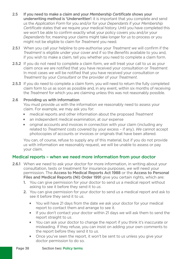- 2.5 If you need to make a claim and your *Membership Certifcate* shows your underwriting method is 'Underwritten': it is important that you complete and send *us* the *Application Form* for you and/or for your *Dependants* if your *Membership Certifcate* states that *we* require your medical history. Until you have completed this *we* won't be able to confrm exactly what your policy covers you and/or your *Dependants* for, meaning your claims might take longer for *us* to process or you might not be eligible to claim for *Treatment* you need.
- 2.5.1 When you call your helpline to pre-authorise your *Treatment we* will confrm if the *Treatment* is eligible under your cover and if so the *Benefts* available to you and, if you wish to make a claim, tell you whether you need to complete a claim form.
- 2.5.2 If you do not need to complete a claim form, *we* will treat your call to *us* as your claim once *we* are notifed that you have received your consultation or *Treatment*. In most cases *we* will be notifed that you have received your consultation or *Treatment* by your *Consultant* or the provider of your *Treatment*.
- 2.5.3 If you do need to complete a claim form, you will need to return the fully completed claim form to *us* as soon as possible and, in any event, within six months of receiving the *Treatment* for which you are claiming unless this was not reasonably possible.

#### 2.6 Providing us with information

You must provide *us* with the information *we* reasonably need to assess your claim. For example, *we* may ask you for:

- medical reports and other information about the proposed *Treatment*
- **n** an independent medical examination, at *our* expense
- original accounts and invoices in connection with your claim (including any related to *Treatment* costs covered by your excess – if any). *We* cannot accept photocopies of accounts or invoices or originals that have been altered.

You can, of course, refuse to supply any of this material, but if you do not provide *us* with information *we* reasonably request, *we* will be unable to assess or pay your claim.

#### Medical reports – when we need more information from your doctor

- 2.6.1 When *we* need to ask your doctor for more information, in writing about your consultation, tests or treatment for insurance purposes, *we* will need your permission. The Access to Medical Reports Act 1988 or the Access to Personal Files and Medical Reports (NI) Order 1991 give you certain rights, which are:
	- 1. You can give permission for your doctor to send *us* a medical report without asking to see it before they send it to *us*.
	- 2. You can give permission for your doctor to send *us* a medical report and ask to see it before they send it to *us*.
		- vou will have 21 days from the date *we* ask your doctor for your medical report to contact them and arrange to see it.
		- $\blacksquare$  If you don't contact your doctor within 21 days we will ask them to send the report straight to *us*.
		- $\blacksquare$  You can ask your doctor to change the report if you think it's inaccurate or misleading. If they refuse, you can insist on adding your own comments to the report before they send it to *us*.
		- **Democh you've seen the report, it won't be sent to us unless you give your** doctor permission to do so.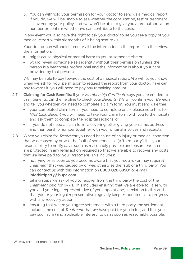3. You can withhold your permission for your doctor to send *us* a medical report. If you do, *we* will be unable to see whether the consultation, test or treatment is covered by your policy, and *we* won't be able to give you a pre-authorisation number or confrm whether *we* can contribute to the costs.

In any event you also have the right to ask your doctor to let you see a copy of your medical report within six months of it being sent to *us*.

Your doctor can withhold some or all the information in the report if, in their view, the information:

- might cause physical or mental harm to you or someone else or
- **v** would reveal someone else's identity without their permission (unless the person is a healthcare professional and the information is about your care provided by that person)

*We* may be able to pay towards the cost of a medical report. *We* will let you know when *we* ask for your permission to request the report from your doctor. If *we* can pay towards it, you will need to pay any remaining amount.

- 2.7 Claiming for Cash Benefits: If your *Membership Certificate* says you are entitled to cash benefts, call the helpline to check your *Benefts*. *We* will confrm your *Benefts*  and tell you whether you need to complete a claim form. You must send *us* either:
	- your completed claim form if you need to complete one please note that for *NHS Cash Benefit* you will need to take your claim form with you to the hospital and ask them to complete the hospital sections, or
	- $\blacksquare$  if you do not need a claim form, a covering letter giving your name, address and membership number together with your original invoices and receipts.
- 2.8 When you claim for *Treatment* you need because of an injury or medical condition that was caused by or was the fault of someone else (a 'third party') it is your responsibility to notify *us* as soon as reasonably possible and ensure *our* interests are protected in any legal action required so that *we* are able to recover any costs that *we* have paid for your *Treatment*. This includes:
	- **Demonstranger in an as soon as you become aware that you require (or may require)** *Treatment* that was caused by or was otherwise the fault of a third party. You can contact *us* with this information on 0800 028 6850\* or e-mail [infothirdparty@bupa.com](mailto:infothirdparty@bupa.com)
	- $\blacksquare$  taking steps we ask of you to recover from the third party the cost of the *Treatment* paid for by *us*. This includes ensuring that *we* are able to liaise with you and your legal representative (if you appoint one) in relation to this and that you or your legal representative regularly keep *us* updated as to progress with any recovery action
	- **EXECT** ensuring that where you agree settlement with a third party, the settlement includes the cost of *Treatment* that *we* have paid for you in full, and that you pay such sum (and applicable interest) to *us* as soon as reasonably possible.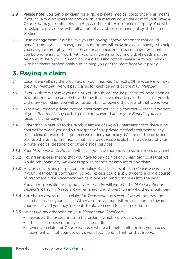- 2.9 Please note: you can only claim for eligible private medical costs once. This means if you have two policies that provide private medical cover, the cost of your *Eligible Treatment* may be split between *Bupa* and the other insurance company. You will be asked to provide *us* with full details of any other insurance policy at the time of claim.
- 2.10 Case Management: If *we* believe you are having *Eligible Treatment* that could beneft from *our* case management support *we* will provide a case manager to help you navigate through your healthcare experience. Your case manager will contact you by phone and will work with you to understand your individual needs and the best way to help you. This can include discussing options available to you, liaising with healthcare professionals and helping you get the most from your policy.

### **3. Paying a claim**

- 3.1 Usually, *we* will pay the providers of your *Treatment* directly. Otherwise *we* will pay the *Main Member*. *We* will pay claims for cash benefts to the *Main Member*.
- 3.2 If you wish to withdraw your claim, you should call the helpline to tell *us* as soon as possible. You will be unable to withdraw if *we* have already paid the claim. If you do withdraw your claim you will be responsible for paying the costs of that *Treatment*.
- 3.3 When you receive private medical treatment you have a contract with the providers of your *Treatment*. Any costs that are not covered under your *Benefts* you are responsible for paying.
- 3.4 Other than in relation to the reimbursement of *Eligible Treatment* costs, there is no contract between you and *us* in respect of any private medical treatment or any other clinical services that you receive under your policy. *We* are not the provider of these things and this means that *we* are not responsible for the delivery of your private medical treatment or other clinical services.
- 3.5.1 Your *Membership Certifcate* will say if you have agreed with *us* an excess payment.
- 3.5.2 Having an excess means that you have to pay part of any *Treatment* costs that *we*  would otherwise pay. An excess applies to the first amount of any claim.
- 3.5.3 Any excess applies per person per policy *Year*. It resets at each *Renewal Date* even if your *Treatment* is continuing. So your excess could apply twice to a single course of *Treatment* if the *Treatment* begins in one *Year* and continues into the next.

You are responsible for paying any *excess*. *We* will write to the *Main Member* or *Dependant* having *Treatment* (when aged 16 and over) to say who they should pay.

- 3.5.4 You should always make a claim for *Treatment* costs even if *we* will not pay the claim because of your excess. Otherwise the amount will not be counted towards your excess and you may lose out should you need to claim next time.
- 3.5.5 Unless *we* say otherwise on your *Membership Certifcate*:
	- ve apply the excess limits in the order in which *we* process claims
	- $\blacksquare$  the excess does not apply to cash benefits
	- **Now the algebia varior in the** *Treatment* costs where a benefit limit applies, your excess payment will not count towards your total benefit limit for that *Benefit*.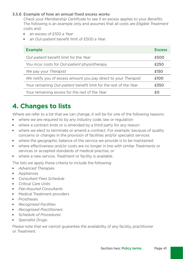#### 3.5.6 Example of how an annual fixed excess works

Check your *Membership Certifcate* to see if an excess applies to your *Benefts*. The following is an example only and assumes that all costs are *Eligible Treatment*  costs and:

- <sup>J</sup> an excess of £100 a *Year*
- an *Out-patient* benefit limit of £500 a *Year*.

| <b>Example</b>                                                    | <b>Excess</b> |
|-------------------------------------------------------------------|---------------|
| Out-patient benefit limit for the Year                            | £500          |
| You incur costs for <i>Out-patient</i> physiotherapy              | £250          |
| We pay your Therapist                                             | £150          |
| We notify you of excess amount you pay direct to your Therapist   | £100          |
| Your remaining Out-patient benefit limit for the rest of the Year | £350          |
| Your remaining excess for the rest of the Year                    |               |

# **4. Changes to lists**

Where *we* refer to a list that *we* can change, it will be for one of the following reasons:

- $\blacksquare$  where *we* are required to by any industry code, law or regulation
- where a contract ends or is amended by a third party for any reason
- **Juberange 19 years of contract Contract** For example: because of quality concerns or changes in the provision of facilities and/or specialist services
- **We where the geographic balance of the service** *we* **provide is to be maintained**
- <sup>J</sup> where effectiveness and/or costs are no longer in line with similar *Treatments* or services or accepted standards of medical practise, or
- **Now the a new service.** *Treatment* or facility is available.

The lists *we* apply these criteria to include the following:

- **Advanced Therapies**
- **Appliances**
- **Consultant Fees Schedule**
- **Critical Care Units**
- <sup>J</sup> *Fee-Assured Consultants*
- **Medical Treatment providers**
- **Prostheses**
- **Recognised Facilities**
- **Recognised Practitioners**
- <sup>J</sup> *Schedule of Procedures*
- **Specialist Drugs.**

Please note that *we* cannot guarantee the availability of any facility, practitioner or *Treatment*.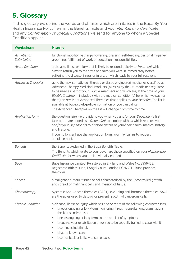# **5. Glossary**

In this glossary *we* defne the words and phrases which are in italics in the Bupa By You Health Insurance Policy Terms, the Benefts Table and your *Membership Certifcate*  and any *Confrmation of Special Conditions we* send for anyone to whom a Special Condition applies.

| Word/phrase                          | <b>Meaning</b>                                                                                                                                                                                                                                                                                                                                                                                                                                                                                                                                                                  |
|--------------------------------------|---------------------------------------------------------------------------------------------------------------------------------------------------------------------------------------------------------------------------------------------------------------------------------------------------------------------------------------------------------------------------------------------------------------------------------------------------------------------------------------------------------------------------------------------------------------------------------|
| <i>Activities of</i><br>Daily Living | functional mobility, bathing/showering, dressing, self-feeding, personal hygiene/<br>grooming, fulfilment of work or educational responsibilities.                                                                                                                                                                                                                                                                                                                                                                                                                              |
| <b>Acute Condition</b>               | a disease, illness or injury that is likely to respond quickly to Treatment which<br>aims to return you to the state of health you were in immediately before<br>suffering the disease, illness or injury, or which leads to your full recovery.                                                                                                                                                                                                                                                                                                                                |
| <b>Advanced Therapies</b>            | gene therapy, somatic-cell therapy or tissue engineered medicines classified as<br>Advanced Therapy Medicinal Products (ATMPs) by the UK medicines regulator<br>to be used as part of your Eligible Treatment and which are, at the time of your<br>Eligible Treatment, included (with the medical condition(s) for which we pay for<br>them) on our list of Advanced Therapies that applies to your <i>Benefits</i> . The list is<br>available at <b>bupa.co.uk/policyinformation</b> or you can call us.<br>The Advanced Therapies on the list will change from time to time. |
| <b>Application form</b>              | the questionnaire we provide to you when you and/or your Dependants first<br>take out or are added as a <i>Dependant</i> to a policy with us which requires you<br>and/or your Dependants to disclose details of your/their health, medical history<br>and lifestyle.<br>If you no longer have the application form, you may call us to request<br>a replacement.                                                                                                                                                                                                               |
| <b>Benefits</b>                      | the Benefits explained in the Bupa Benefits Table.<br>The Benefits which relate to your cover are those specified on your Membership<br>Certificate for which you are individually entitled.                                                                                                                                                                                                                                                                                                                                                                                    |
| Bupa                                 | Bupa Insurance Limited. Registered in England and Wales No. 3956433.<br>Registered office: Bupa, 1 Angel Court, London EC2R 7HJ. Bupa provides<br>the cover.                                                                                                                                                                                                                                                                                                                                                                                                                    |
| Cancer                               | a malignant tumour, tissues or cells characterised by the uncontrolled growth<br>and spread of malignant cells and invasion of tissue.                                                                                                                                                                                                                                                                                                                                                                                                                                          |
| Chemotherapy                         | Systemic Anti-Cancer Therapies (SACT), excluding anti-hormone therapies. SACT<br>are therapies used to destroy or prevent growth of cancerous cells.                                                                                                                                                                                                                                                                                                                                                                                                                            |
| <b>Chronic Condition</b>             | a disease, illness or injury which has one or more of the following characteristics:<br>it needs ongoing or long-term monitoring through consultations, examinations,<br>check-ups and/or tests<br>it needs ongoing or long-term control or relief of symptoms<br>٠<br>it requires your rehabilitation or for you to be specially trained to cope with it<br>٠<br>it continues indefinitely<br>٠<br>it has no known cure<br>٠<br>it comes back or is likely to come back.<br>٠                                                                                                  |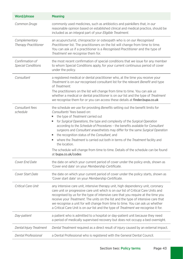| Word/phrase                                  | <b>Meaning</b>                                                                                                                                                                                                                                                                                                                                                                                                                                                                                                                                                                                                                                                                                        |
|----------------------------------------------|-------------------------------------------------------------------------------------------------------------------------------------------------------------------------------------------------------------------------------------------------------------------------------------------------------------------------------------------------------------------------------------------------------------------------------------------------------------------------------------------------------------------------------------------------------------------------------------------------------------------------------------------------------------------------------------------------------|
| Common Drugs                                 | commonly used medicines, such as antibiotics and painkillers that, in our<br>reasonable opinion based on established clinical and medical practice, should be<br>included as an integral part of your Eligible Treatment.                                                                                                                                                                                                                                                                                                                                                                                                                                                                             |
| Complementary<br><b>Therapy Practitioner</b> | an acupuncturist, chiropractor or osteopath who is on our Recognised<br>Practitioner list. The practitioners on the list will change from time to time.<br>You can ask us if a practitioner is a Recognised Practitioner and the type of<br>Treatment we recognise them for.                                                                                                                                                                                                                                                                                                                                                                                                                          |
| Confirmation of<br><b>Special Conditions</b> | the most recent confirmation of special conditions that we issue for any member<br>to whom Special Conditions apply, for your current continuous period of cover<br>under the policy.                                                                                                                                                                                                                                                                                                                                                                                                                                                                                                                 |
| Consultant                                   | a registered medical or dental practitioner who, at the time you receive your<br><i>Treatment</i> is on <i>our</i> recognised consultant list for the relevant <i>Benefit</i> and type<br>of Treatment.<br>The practitioners on the list will change from time to time. You can ask us<br>whether a medical or dental practitioner is on <i>our</i> list and the type of Treatment<br>we recognise them for or you can access these details at finder.bupa.co.uk                                                                                                                                                                                                                                      |
| Consultant fees<br>schedule                  | the schedule we use for providing Benefits setting out the benefit limits for<br>Consultants' fees based on:<br>the type of Treatment carried out<br>for Surgical Operations, the type and complexity of the Surgical Operation<br>٠<br>according to the <i>Schedule of Procedures - the benefits available for Consultant</i><br>surgeons and Consultant anaesthetists may differ for the same Surgical Operation<br>the recognition status of the Consultant, and<br>۰.<br>where the <i>Treatment</i> is carried out both in terms of the <i>Treatment</i> facility and<br>the location.<br>The schedule will change from time to time. Details of the schedule can be found<br>at bupa.co.uk/codes |
| Cover End Date                               | the date on which your current period of cover under the policy ends, shown as<br>'Cover end date' on your Membership Certificate.                                                                                                                                                                                                                                                                                                                                                                                                                                                                                                                                                                    |
| Cover Start Date                             | the date on which your current period of cover under the policy starts, shown as<br>'Cover start date' on your Membership Certificate.                                                                                                                                                                                                                                                                                                                                                                                                                                                                                                                                                                |
| Critical Care Unit                           | any intensive care unit, intensive therapy unit, high dependency unit, coronary<br>care unit or progressive care unit which is on our list of Critical Care Units and<br>recognised by us for the type of intensive care that you require at the time you<br>receive your Treatment. The units on the list and the type of intensive care that<br>we recognise a unit for will change from time to time. You can ask us whether<br>a Critical Care Unit is on our list and the type of Treatment we recognise it for.                                                                                                                                                                                 |
| Day-patient                                  | a patient who is admitted to a hospital or day-patient unit because they need<br>a period of medically supervised recovery but does not occupy a bed overnight.                                                                                                                                                                                                                                                                                                                                                                                                                                                                                                                                       |
| Dental Injury Treatment                      | Dental Treatment required as a direct result of injury caused by an external impact.                                                                                                                                                                                                                                                                                                                                                                                                                                                                                                                                                                                                                  |
| Dental Professional                          | a Dental Professional who is registered with the General Dental Council.                                                                                                                                                                                                                                                                                                                                                                                                                                                                                                                                                                                                                              |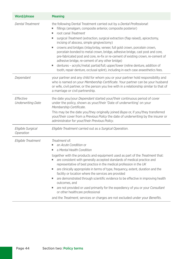| Word/phrase                           | <b>Meaning</b>                                                                                                                                                                                                                                                                                                                                                                                                                                                                                                                                                                                                                                                                                                                                                                                  |
|---------------------------------------|-------------------------------------------------------------------------------------------------------------------------------------------------------------------------------------------------------------------------------------------------------------------------------------------------------------------------------------------------------------------------------------------------------------------------------------------------------------------------------------------------------------------------------------------------------------------------------------------------------------------------------------------------------------------------------------------------------------------------------------------------------------------------------------------------|
| <b>Dental Treatment</b>               | the following Dental Treatment carried out by a Dental Professional:<br>fillings (amalgam, composite anterior, composite posterior)<br>٠<br>root canal Treatment<br>٠<br>surgical Treatment (extraction, surgical extraction (flap raised), apicectomy,<br>٠<br>incising of abscess, simple gingivectomy)<br>crowns and bridges (inlay/onlay, veneer, full gold crown, porcelain crown,<br>٠<br>porcelain bonded to metal crown, bridge, adhesive bridge, cast post and core,<br>pre-fabricated post and core, re-fix or re-cement of existing crown, re-cement of<br>adhesive bridge, re-cement of any other bridge)<br>dentures - acrylic/metal; partial/full; upper/lower (reline denture, addition of<br>tooth, repair denture, occlusal splint), including in each case anaesthetics fees. |
| Dependant                             | your partner and any child for whom you or your partner hold responsibility and<br>who is named on your Membership Certificate. Your partner can be your husband<br>or wife, civil partner, or the person you live with in a relationship similar to that of<br>a marriage or civil partnership.                                                                                                                                                                                                                                                                                                                                                                                                                                                                                                |
| Effective<br><b>Underwriting Date</b> | the date you/your <i>Dependant</i> started your/their continuous period of cover<br>under the policy, shown as your/their 'Date of underwriting' on your<br>Membership Certificate.<br>This may be the date you/they originally joined <i>Bupa</i> or, if you/they transferred<br>your/their cover from a Previous Policy the date of underwriting by the insurer or<br>administrator for your/their Previous Policy.                                                                                                                                                                                                                                                                                                                                                                           |
| Eligible Surgical<br>Operation        | Eligible Treatment carried out as a Surgical Operation.                                                                                                                                                                                                                                                                                                                                                                                                                                                                                                                                                                                                                                                                                                                                         |
| Eligible Treatment                    | Treatment of:<br>an Acute Condition or<br>H,<br>a Mental Health Condition<br>٠<br>together with the products and equipment used as part of the <i>Treatment</i> that:<br>are consistent with generally accepted standards of medical practice and<br>٠<br>representative of best practice in the medical profession in the UK<br>are clinically appropriate in terms of type, frequency, extent, duration and the<br>٠<br>facility or location where the services are provided<br>are demonstrated through scientific evidence to be effective in improving health<br>outcomes, and<br>are not provided or used primarily for the expediency of you or your Consultant<br>or other healthcare professional<br>and the Treatment, services or charges are not excluded under your Benefits.      |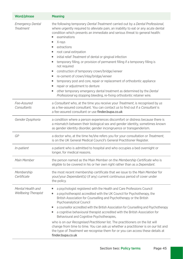| Word/phrase                                     | <b>Meaning</b>                                                                                                                                                                                                                                                                                                                                                                                                                                                                                                                                                                                                                                                                                                                                                                                                                                                                                            |
|-------------------------------------------------|-----------------------------------------------------------------------------------------------------------------------------------------------------------------------------------------------------------------------------------------------------------------------------------------------------------------------------------------------------------------------------------------------------------------------------------------------------------------------------------------------------------------------------------------------------------------------------------------------------------------------------------------------------------------------------------------------------------------------------------------------------------------------------------------------------------------------------------------------------------------------------------------------------------|
| <i>Emergency Dental</i><br>Treatment            | the following temporary Dental Treatment carried out by a Dental Professional,<br>where urgently required to alleviate pain, an inability to eat or any acute dental<br>condition which presents an immediate and serious threat to general health:<br>examinations<br>٠<br>X-rays<br>٠<br>extractions<br>٠<br>root canal extirpation<br>٠<br>initial relief Treatment of dental or gingival infection<br>٠<br>temporary filling, or provision of permanent filling if a temporary filling is<br>٠<br>not required<br>construction of temporary crown/bridge/veneer<br>٠<br>re-cement of crown/inlay/bridge/veneer<br>٠<br>temporary post and core, repair or replacement of orthodontic appliance<br>٠<br>repair or adjustment to denture<br>٠<br>other temporary emergency dental treatment as determined by the Dental<br>٠<br>Professional eg stopping bleeding, re-fixing orthodontic retainer wire. |
| Fee-Assured<br>Consultants                      | a <i>Consultant</i> who, at the time you receive your <i>Treatment</i> , is recognised by us<br>as a fee-assured consultant. You can contact us to find out if a Consultant is<br>a fee-assured consultant or use finder.bupa.co.uk                                                                                                                                                                                                                                                                                                                                                                                                                                                                                                                                                                                                                                                                       |
| Gender Dysphoria                                | a condition where a person experiences discomfort or distress because there is<br>a mismatch between their biological sex and gender identity, sometimes known<br>as gender identity disorder, gender incongruence or transgenderism.                                                                                                                                                                                                                                                                                                                                                                                                                                                                                                                                                                                                                                                                     |
| GP                                              | a doctor who, at the time he/she refers you for your consultation or Treatment,<br>is on the UK General Medical Council's General Practitioner Register.                                                                                                                                                                                                                                                                                                                                                                                                                                                                                                                                                                                                                                                                                                                                                  |
| <i>In-patient</i>                               | a patient who is admitted to hospital and who occupies a bed overnight or<br>longer, for medical reasons.                                                                                                                                                                                                                                                                                                                                                                                                                                                                                                                                                                                                                                                                                                                                                                                                 |
| Main Member                                     | the person named as the Main Member on the Membership Certificate who is<br>eligible to be covered in his or her own right rather than as a <i>Dependant</i> .                                                                                                                                                                                                                                                                                                                                                                                                                                                                                                                                                                                                                                                                                                                                            |
| Membership<br>Certificate                       | the most recent membership certificate that we issue to the Main Member for<br>your/your <i>Dependant(s)</i> (if any) current continuous period of cover under<br>the policy.                                                                                                                                                                                                                                                                                                                                                                                                                                                                                                                                                                                                                                                                                                                             |
| Mental Health and<br><b>Wellbeing Therapist</b> | a psychologist registered with the Health and Care Professions Council<br>٠<br>a psychotherapist accredited with the UK Council for Psychotherapy, the<br>٠<br>British Association for Counselling and Psychotherapy or the British<br>Psychoanalytical Council<br>a counsellor accredited with the British Association for Counselling and Psychotherapy<br>٠<br>a cognitive behavioural therapist accredited with the British Association for<br>٠<br>Behavioural and Cognitive Psychotherapies,<br>who is on our Recognised Practitioner list. The practitioners on the list will<br>change from time to time. You can ask us whether a practitioner is on our list and<br>the type of <i>Treatment we</i> recognise them for or you can access these details at<br>finder.bupa.co.uk                                                                                                                  |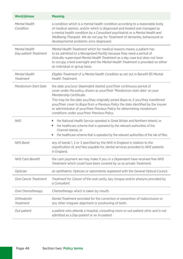| Word/phrase                            | <b>Meaning</b>                                                                                                                                                                                                                                                                                                                                                                                                                                                                                                   |
|----------------------------------------|------------------------------------------------------------------------------------------------------------------------------------------------------------------------------------------------------------------------------------------------------------------------------------------------------------------------------------------------------------------------------------------------------------------------------------------------------------------------------------------------------------------|
| Mental Health<br>Condition             | a condition which is a mental health condition according to a reasonable body<br>of medical opinion, and/or which is diagnosed and treated and managed as<br>a mental health condition by a Consultant psychiatrist or a Mental Health and<br>Wellbeing Therapist. We do not pay for Treatment of dementia, behavioural or<br>developmental problems once diagnosed.                                                                                                                                             |
| Mental Health<br>Day-patient Treatment | Mental Health Treatment which for medical reasons means a patient has<br>to be admitted to a Recognised Facility because they need a period of<br>clinically-supervised Mental Health Treatment as a day case but does not have<br>to occupy a bed overnight and the Mental Health Treatment is provided on either<br>an individual or group basis.                                                                                                                                                              |
| Mental Health<br>Treatment             | Eligible Treatment of a Mental Health Condition as set out in Benefit B5 Mental<br>Health Treatment.                                                                                                                                                                                                                                                                                                                                                                                                             |
| Moratorium Start Date                  | the date you/your <i>Dependant</i> started your/their continuous period of<br>cover under the policy, shown as your/their 'Moratorium start date' on your<br>Membership Certificate.<br>This may be the date you/they originally joined <i>Bupa</i> or, if you/they transferred<br>your/their cover to <i>Bupa</i> from a <i>Previous Policy</i> the date identified by the insurer<br>or administrator of your/their Previous Policy for determining moratorium<br>conditions under your/their Previous Policy. |
| <b>NHS</b>                             | the National Health Service operated in Great Britain and Northern Ireland, or<br>the healthcare scheme that is operated by the relevant authorities of the<br>٠<br>Channel Islands, or<br>the healthcare scheme that is operated by the relevant authorities of the Isle of Man.<br>٠                                                                                                                                                                                                                           |
| <b>NHS Band</b>                        | any of bands 1, 2 or 3 specified by the NHS in England in relation to the<br>classification of, and fees payable for, dental services provided to NHS patients<br>in England.                                                                                                                                                                                                                                                                                                                                    |
| <b>NHS Cash Benefit</b>                | the cash payment we may make if you or a Dependant have received free NHS<br>Treatment which could have been covered by us as private Treatment.                                                                                                                                                                                                                                                                                                                                                                 |
| Optician                               | an ophthalmic Optician or optometrist registered with the General Optical Council.                                                                                                                                                                                                                                                                                                                                                                                                                               |
| <b>Oral Cancer Treatment</b>           | Treatment for Cancer of the oral cavity, lips, tongue and/or pharynx provided by<br>a Consultant.                                                                                                                                                                                                                                                                                                                                                                                                                |
| Oral Chemotherapy                      | Chemotherapy which is taken by mouth.                                                                                                                                                                                                                                                                                                                                                                                                                                                                            |
| <b>Orthodontic</b><br>Treatment        | Dental Treatment provided for the correction or prevention of malocclusion or<br>any other irregular alignment or positioning of teeth.                                                                                                                                                                                                                                                                                                                                                                          |
| Out-patient                            | a patient who attends a hospital, consulting room or out-patient clinic and is not<br>admitted as a Day-patient or an In-patient.                                                                                                                                                                                                                                                                                                                                                                                |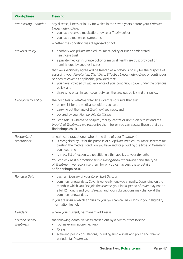| Word/phrase                        | <b>Meaning</b>                                                                                                                                                                                                                                                                                                                                                                                                                                                                                                                                                                                                                            |
|------------------------------------|-------------------------------------------------------------------------------------------------------------------------------------------------------------------------------------------------------------------------------------------------------------------------------------------------------------------------------------------------------------------------------------------------------------------------------------------------------------------------------------------------------------------------------------------------------------------------------------------------------------------------------------------|
| <b>Pre-existing Condition</b>      | any disease, illness or injury for which in the seven years before your <i>Effective</i><br><b>Underwriting Date:</b><br>you have received medication, advice or Treatment, or<br>٠<br>you have experienced symptoms,<br>I.<br>whether the condition was diagnosed or not.                                                                                                                                                                                                                                                                                                                                                                |
| <b>Previous Policy</b>             | another <i>Bupa</i> private medical insurance policy or Bupa administered<br>٠<br>healthcare trust<br>a private medical insurance policy or medical healthcare trust provided or<br>٠<br>administered by another insurer<br>that we specifically agree will be treated as a previous policy for the purpose of<br>assessing your Moratorium Start Date, Effective Underwriting Date or continuous<br>periods of cover as applicable, provided that:<br>you have provided us with evidence of your continuous cover under the previous<br>policy, and<br>there is no break in your cover between the previous policy and this policy.<br>٠ |
| <b>Recognised Facility</b>         | the hospitals or Treatment facilities, centres or units that are:<br>on our list for the medical condition you have<br>carrying out the type of <i>Treatment</i> you need, and<br>I.<br>covered by your Membership Certificate.<br>I.<br>You can ask us whether a hospital, facility, centre or unit is on our list and the<br>type(s) of <i>Treatment we</i> recognise them for or you can access these details at<br>finder.bupa.co.uk                                                                                                                                                                                                  |
| Recognised<br>practitioner         | a healthcare practitioner who at the time of your Treatment:<br>is recognised by us for the purpose of our private medical insurance schemes for<br>treating the medical condition you have and for providing the type of Treatment<br>you need, and<br>is in our list of recognised practitioners that applies to your Benefits.<br>You can ask us if a practitioner is a Recognised Practitioner and the type<br>of <i>Treatment we</i> recognise them for or you can access these details<br>at finder.bupa.co.uk                                                                                                                      |
| Renewal Date                       | each anniversary of your Cover Start Date, or<br>common renewal date. Cover is generally renewed annually. Depending on the<br>I.<br>month in which you first join the scheme, your initial period of cover may not be<br>a full 12 months and your Benefits and your subscriptions may change at the<br>common renewal date.<br>If you are unsure which applies to you, you can call us or look in your eligibility<br>information leaflet.                                                                                                                                                                                              |
| Resident                           | where your current, permanent address is.                                                                                                                                                                                                                                                                                                                                                                                                                                                                                                                                                                                                 |
| Routine Dental<br><b>Treatment</b> | the following dental services carried out by a Dental Professional:<br>routine examination/check-up<br>X-rays<br>■<br>scale and polish consultations, including simple scale and polish and chronic<br>٠<br>periodontal Treatment.                                                                                                                                                                                                                                                                                                                                                                                                        |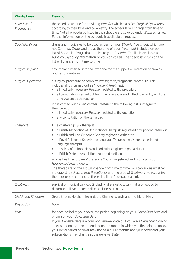| Word/phrase               | <b>Meaning</b>                                                                                                                                                                                                                                                                                                                                                                                                                                                                                                                                                                                                                                                                                                                                                                                             |
|---------------------------|------------------------------------------------------------------------------------------------------------------------------------------------------------------------------------------------------------------------------------------------------------------------------------------------------------------------------------------------------------------------------------------------------------------------------------------------------------------------------------------------------------------------------------------------------------------------------------------------------------------------------------------------------------------------------------------------------------------------------------------------------------------------------------------------------------|
| Schedule of<br>Procedures | the schedule we use for providing Benefits which classifies Surgical Operations<br>according to their type and complexity. The schedule will change from time to<br>time. Not all procedures listed in the schedule are covered under <i>Bupa</i> schemes.<br>Further information on the schedule is available on request.                                                                                                                                                                                                                                                                                                                                                                                                                                                                                 |
| <b>Specialist Drugs</b>   | drugs and medicines to be used as part of your <i>Eligible Treatment</i> , which are<br>not Common Drugs and are at the time of your Treatment included on our<br>list of Specialist Drugs that applies to your Benefits. The list is available at<br><b>bupa.co.uk/policyinformation</b> or you can call us. The specialist drugs on the<br>list will change from time to time.                                                                                                                                                                                                                                                                                                                                                                                                                           |
| Surgical Implant          | any implant inserted into the jaw bone for the support or retention of crowns,<br>bridges or dentures.                                                                                                                                                                                                                                                                                                                                                                                                                                                                                                                                                                                                                                                                                                     |
| <b>Surgical Operation</b> | a surgical procedure or complex investigative/diagnostic procedure. This<br>includes, if it is carried out as In-patient Treatment:<br>all medically necessary <i>Treatment</i> related to the procedure<br>٠<br>all consultations carried out from the time you are admitted to a facility until the<br>٠<br>time you are discharged, or<br>if it is carried out as <i>Out-patient Treatment</i> , the following if it is integral to<br>the operation:<br>all medically necessary <i>Treatment</i> related to the operation<br>٠<br>any consultation on the same day.<br>٠                                                                                                                                                                                                                               |
| <b>Therapist</b>          | a chartered physiotherapist<br>٠<br>a British Association of Occupational Therapists registered occupational therapist<br>٠<br>a British and Irish Orthoptic Society registered orthoptist<br>٠<br>a Royal College of Speech and Language Therapists registered speech and<br>٠<br>language therapist<br>a Society of Chiropodists and Podiatrists registered podiatrist, or<br>٠<br>a British Dietetic Association registered dietitian<br>who is Health and Care Professions Council registered and is on our list of<br>Recognised Practitioners.<br>The therapists on the list will change from time to time. You can ask us whether<br>a therapist is a <i>Recognised Practitioner</i> and the type of <i>Treatment we</i> recognise<br>them for or you can access these details at finder.bupa.co.uk |
| Treatment                 | surgical or medical services (including diagnostic tests) that are needed to<br>diagnose, relieve or cure a disease, illness or injury.                                                                                                                                                                                                                                                                                                                                                                                                                                                                                                                                                                                                                                                                    |
| UK/United Kingdom         | Great Britain, Northern Ireland, the Channel Islands and the Isle of Man.                                                                                                                                                                                                                                                                                                                                                                                                                                                                                                                                                                                                                                                                                                                                  |
| We/our/us                 | Bupa.                                                                                                                                                                                                                                                                                                                                                                                                                                                                                                                                                                                                                                                                                                                                                                                                      |
| Year                      | for each period of your cover, the period beginning on your Cover Start Date and<br>ending on your Cover End Date.<br>If your Renewal Date is a common renewal date or if you are a Dependant joining<br>an existing policy then depending on the month in which you first join the policy,<br>your initial period of cover may not be a full 12 months and your cover and your<br>subscriptions may change at the Renewal Date.                                                                                                                                                                                                                                                                                                                                                                           |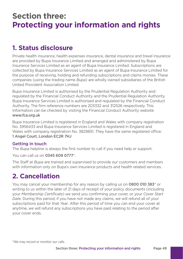# **Section three: Protecting your information and rights**

# **1. Status disclosure**

Private health insurance, health expenses insurance, dental insurance and travel insurance are provided by Bupa Insurance Limited and arranged and administered by Bupa Insurance Services Limited as an agent of Bupa Insurance Limited. Subscriptions are collected by Bupa Insurance Services Limited as an agent of Bupa Insurance Limited for the purpose of receiving, holding and refunding subscriptions and claims monies. These companies (using the trading name *Bupa*) are wholly owned subsidiaries of the British United Provident Association Limited.

Bupa Insurance Limited is authorised by the Prudential Regulation Authority and regulated by the Financial Conduct Authority and the Prudential Regulation Authority. Bupa Insurance Services Limited is authorised and regulated by the Financial Conduct Authority. The frm reference numbers are 203332 and 312526 respectively. This information can be checked by visiting the Financial Conduct Authority website <www.fca.org.uk>

Bupa Insurance Limited is registered in England and Wales with company registration No. 3956433 and Bupa Insurance Services Limited is registered in England and Wales with company registration No. 3829851. They have the same registered office: 1 Angel Court, London EC2R 7HJ

#### Getting in touch

The *Bupa* helpline is always the first number to call if you need help or support.

You can call *us* on 0345 609 0777\*.

The Staff at *Bupa* are trained and supervised to provide *our* customers and members with information only on Bupa's own insurance products and health related services.

### **2. Cancellation**

You may cancel your membership for any reason by calling *us* on 0800 010 383\* or writing to *us* within the later of 21 days of receipt of your policy documents (including your *Membership Certifcate*) *we* send you confrming your cover, or your *Cover Start Date*. During this period, if you have not made any claims, *we* will refund all of your subscriptions paid for that *Year*. After this period of time you can end your cover at anytime, *we* will refund any subscriptions you have paid relating to the period after your cover ends.

<sup>\*</sup>We may record or monitor our calls.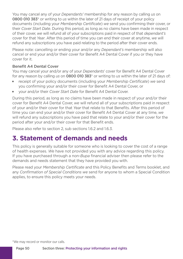You may cancel any of your *Dependants'* membership for any reason by calling *us* on 0800 010 383\* or writing to *us* within the later of 21 days of receipt of your policy documents (including your *Membership Certifcate*) *we* send you confrming their cover, or their *Cover Start Date*. During this period, as long as no claims have been made in respect of their cover, *we* will refund all of your subscriptions paid in respect of that *dependant's*  cover for that *Year*. After this period of time you can end their cover at anytime, *we* will refund any subscriptions you have paid relating to the period after their cover ends.

Please note: cancelling or ending your and/or any *Dependant's* membership will also cancel or end your and/or their cover for Beneft A4 Dental Cover if you or they have cover for it.

#### Benefit A4 Dental Cover

You may cancel your and/or any of your *Dependants*' cover for Beneft A4 Dental Cover for any reason by calling *us* on 0800 010 383\* or writing to *us* within the later of 21 days of:

- **Example 2** receipt of your policy documents (including your *Membership Certificate*) *we* send you confrming your and/or their cover for Beneft A4 Dental Cover, or
- <sup>J</sup> your and/or their *Cover Start Date* for Beneft A4 Dental Cover.

During this period, as long as no claims have been made in respect of your and/or their cover for Beneft A4 Dental Cover, *we* will refund all of your subscriptions paid in respect of your and/or their cover for that *Year* that relate to that Benefts. After this period of time you can end your and/or their cover for Beneft A4 Dental Cover at any time, *we*  will refund any subscriptions you have paid that relate to your and/or their cover for the period after your and/or their cover for that Benefit ends.

Please also refer to section 2, sub sections 1.6.2 and 1.6.3.

### **3. Statement of demands and needs**

This policy is generally suitable for someone who is looking to cover the cost of a range of health expenses. *We* have not provided you with any advice regarding this policy. If you have purchased through a non-*Bupa* fnancial adviser then please refer to the demands and needs statement that they have provided you with.

Please read your *Membership Certifcate* and this Policy Benefts and Terms booklet, and any *Confrmation of Special Conditions we* send for anyone to whom a Special Condition applies, to ensure this policy meets your needs.

\*We may record or monitor our calls.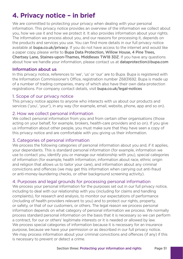# **4. Privacy notice – in brief**

We are committed to protecting your privacy when dealing with your personal information. This privacy notice provides an overview of the information we collect about you, how we use it and how we protect it. It also provides information about your rights. The information we process about you, and our reasons for processing it, depends on the products and services you use. You can fnd more details in our full privacy notice available at **bupa.co.uk/privacy**. If you do not have access to the internet and would like a paper copy, please write to Bupa Data Protection, Willow House, 4 Pine Trees, Chertsey Lane, Staines-upon-Thames, Middlesex TW18 3DZ. If you have any questions about how we handle your information, please contact us at [dataprotection@bupa.com](mailto:dataprotection@bupa.com)

#### Information about us

In this privacy notice, references to 'we', 'us' or 'our' are to Bupa. Bupa is registered with the Information Commissioner's Office, registration number Z6831692. Bupa is made up of a number of trading companies, many of which also have their own data-protection registrations. For company contact details, visit bupa.co.uk/legal-notices

#### 1. Scope of our privacy notice

This privacy notice applies to anyone who interacts with us about our products and services ('you', 'your'), in any way (for example, email, website, phone, app and so on).

#### 2. How we collect personal information

We collect personal information from you and from certain other organisations (those acting on your behalf, for example, brokers, health-care providers and so on). If you give us information about other people, you must make sure that they have seen a copy of this privacy notice and are comfortable with you giving us their information.

#### 3. Categories of personal information

We process the following categories of personal information about you and, if it applies, your dependants. This is standard personal information (for example, information we use to contact you, identify you or manage our relationship with you), special categories of information (for example, health information, information about race, ethnic origin and religion that allows us to tailor your care), and information about any criminal convictions and offences (we may get this information when carrying out anti-fraud or anti-money-laundering checks, or other background screening activity).

#### 4. Purposes and legal grounds for processing personal information

We process your personal information for the purposes set out in our full privacy notice. including to deal with our relationship with you (including for claims and handling complaints), for research and analysis, to monitor our expectations of performance (including of health providers relevant to you) and to protect our rights, property, or safety, or that of our customers, or others. The legal reason we process personal information depends on what category of personal information we process. We normally process standard personal information on the basis that it is necessary so we can perform a contract, for our or others' legitimate interests or it is needed or allowed by law. We process special categories of information because it is necessary for an insurance purpose, because we have your permission or as described in our full privacy notice. We may process information about your criminal convictions and offences (if any) if this is necessary to prevent or detect a crime.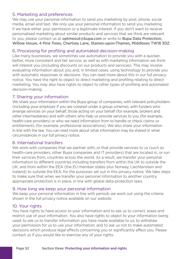#### 5. Marketing and preferences

We may use your personal information to send you marketing by post, phone, social media, email and text. We only use your personal information to send you marketing if we have either your permission or a legitimate interest. If you don't want to receive personalised marketing about similar products and services that we think are relevant to you, please contact us at [optmeout@bupa.com](mailto:optmeout@bupa.com) or write to Bupa Data Protection. Willow House, 4 Pine Trees, Chertsey Lane, Staines-upon-Thames, Middlesex TW18 3DZ

#### 6. Processing for profling and automated decision-making

Like many businesses, we sometimes use automation to provide you with a quicker, better, more consistent and fair service, as well as with marketing information we think will interest you (including discounts on our products and services). This may involve evaluating information about you and, in limited cases, using technology to provide you with automatic responses or decisions. You can read more about this in our full privacy notice. You have the right to object to direct marketing and profling relating to direct marketing. You may also have rights to object to other types of profling and automated decision-making.

#### 7. Sharing your information

 health-care providers) or who we need information from to handle or check claims or We share your information within the Bupa group of companies, with relevant policyholders (including your employer if you are covered under a group scheme), with funders who arrange services on your behalf, those acting on your behalf (for example, brokers and other intermediaries) and with others who help us provide services to you (for example, entitlements (for example, professional associations). We also share your information in line with the law. You can read more about what information may be shared in what circumstances in our full privacy notice.

#### 8. International transfers

We work with companies that we partner with, or that provide services to us (such as health-care providers, other Bupa companies and IT providers) that are located in, or run their services from, countries across the world. As a result, we transfer your personal information to different countries including transfers from within the UK to outside the UK, and from within the EEA (the EU member states plus Norway, Liechtenstein and Iceland) to outside the EEA, for the purposes set out in this privacy notice. We take steps to make sure that when we transfer your personal information to another country, appropriate protection is in place, in line with global data-protection laws.

#### 9. How long we keep your personal information

We keep your personal information in line with periods we work out using the criteria shown in the full privacy notice available on our website.

#### 10. Your rights

You have rights to have access to your information and to ask us to correct, erase and restrict use of your information. You also have rights to object to your information being used; to ask us to transfer information you have made available to us; to withdraw your permission for us to use your information; and to ask us not to make automated decisions which produce legal effects concerning you or signifcantly affect you. Please contact us if you would like to exercise any of your rights.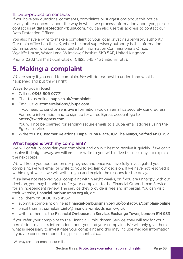#### 11. Data-protection contacts

If you have any questions, comments, complaints or suggestions about this notice, or any other concerns about the way in which we process information about you, please contact us at [dataprotection@bupa.com](mailto:dataprotection@bupa.com). You can also use this address to contact our Data Protection Officer

You also have a right to make a complaint to your local privacy supervisory authority. Our main office is in the UK, where the local supervisory authority is the Information Commissioner, who can be contacted at: Information Commissioner's Offce, Wycliffe House, Water Lane, Wilmslow, Cheshire SK9 5AF, United Kingdom.

Phone: 0303 123 1113 (local rate) or 01625 545 745 (national rate).

# **5. Making a complaint**

*We* are sorry if you need to complain. *We* will do *our* best to understand what has happened and put things right.

#### Ways to get in touch

- $\blacksquare$  Call us: 0345 609 0777\*
- Chat to us online: bupa.co.uk/complaints
- **F** Email us: customerrelations@bupa.com

If you need to send *us* sensitive information you can email *us* securely using Egress. For more information and to sign up for a free Egress account, go to <https://switch.egress.com>

You will not be charged for sending secure emails to a Bupa email address using the Egress service.

Virite to us: Customer Relations, Bupa, Bupa Place, 102 The Quays, Salford M50 3SP

#### What happens with my complaint?

*We* will carefully consider your complaint and do *our* best to resolve it quickly. If *we* can't resolve it straight away, *we* will email or write to you within fve business days to explain the next steps.

*We* will keep you updated on *our* progress and once *we* have fully investigated your complaint, *we* will email or write to you to explain *our* decision. If *we* have not resolved it within eight weeks *we* will write to you and explain the reasons for the delay.

If *we* have not resolved your complaint within eight weeks, or if you are unhappy with *our*  decision, you may be able to refer your complaint to the Financial Ombudsman Service for an independent review. The service they provide is free and impartial. You can visit their website, financial-ombudsman.org.uk, or:

- $\blacksquare$  call them on 0800 023 4567
- $\blacksquare$  submit a complaint online at financial-ombudsman.org.uk/contact-us/complain-online
- $\blacksquare$  email them at complaint.info@financial-ombudsman.org.uk
- vrite to them at the Financial Ombudsman Service, Exchange Tower, London E14 9SR

If you refer your complaint to the Financial Ombudsman Service, they will ask for your permission to access information about you and your complaint. *We* will only give them what is necessary to investigate your complaint and this may include medical information. If you are concerned about this, please contact *us*.

\*We may record or monitor our calls.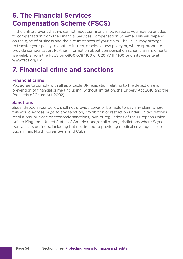# **6. The Financial Services Compensation Scheme (FSCS)**

In the unlikely event that *we* cannot meet *our* financial obligations, you may be entitled to compensation from the Financial Services Compensation Scheme. This will depend on the type of business and the circumstances of your claim. The FSCS may arrange to transfer your policy to another insurer, provide a new policy or, where appropriate, provide compensation. Further information about compensation scheme arrangements is available from the FSCS on 0800 678 1100 or 020 7741 4100 or on its website at: <www.fscs.org.uk>

# **7. Financial crime and sanctions**

#### Financial crime

*You* agree to comply with all applicable UK legislation relating to the detection and prevention of fnancial crime (including, without limitation, the Bribery Act 2010 and the Proceeds of Crime Act 2002).

#### Sanctions

*Bupa*, through your policy, shall not provide cover or be liable to pay any claim where this would expose *Bupa* to any sanction, prohibition or restriction under United Nations resolutions, or trade or economic sanctions, laws or regulations of the European Union, United Kingdom, United States of America, and/or all other jurisdictions where *Bupa*  transacts its business, including but not limited to providing medical coverage inside Sudan, Iran, North Korea, Syria, and Cuba.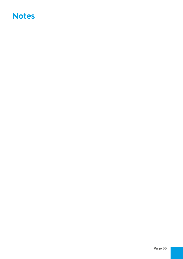# **Notes**